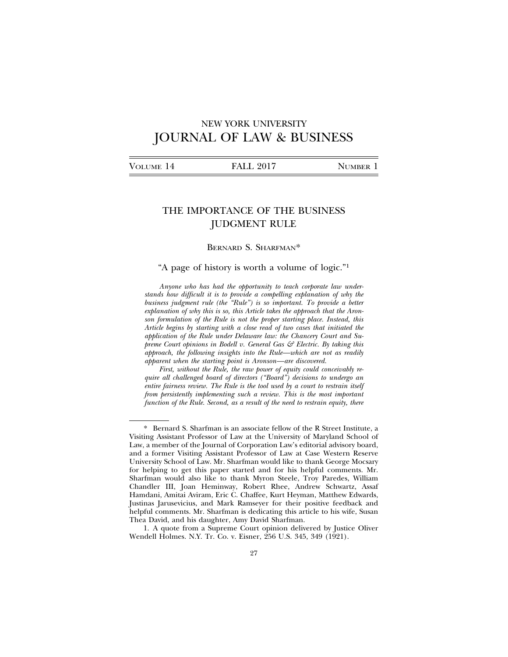# NEW YORK UNIVERSITY JOURNAL OF LAW & BUSINESS

# THE IMPORTANCE OF THE BUSINESS JUDGMENT RULE

### BERNARD S. SHARFMAN\*

## "A page of history is worth a volume of logic."1

*Anyone who has had the opportunity to teach corporate law understands how difficult it is to provide a compelling explanation of why the business judgment rule (the "Rule") is so important. To provide a better explanation of why this is so, this Article takes the approach that the Aronson formulation of the Rule is not the proper starting place. Instead, this Article begins by starting with a close read of two cases that initiated the application of the Rule under Delaware law: the Chancery Court and Supreme Court opinions in Bodell v. General Gas & Electric. By taking this approach, the following insights into the Rule—which are not as readily apparent when the starting point is Aronson—are discovered.*

*First, without the Rule, the raw power of equity could conceivably require all challenged board of directors ("Board") decisions to undergo an entire fairness review. The Rule is the tool used by a court to restrain itself from persistently implementing such a review. This is the most important function of the Rule. Second, as a result of the need to restrain equity, there*

<sup>\*</sup> Bernard S. Sharfman is an associate fellow of the R Street Institute, a Visiting Assistant Professor of Law at the University of Maryland School of Law, a member of the Journal of Corporation Law's editorial advisory board, and a former Visiting Assistant Professor of Law at Case Western Reserve University School of Law. Mr. Sharfman would like to thank George Mocsary for helping to get this paper started and for his helpful comments. Mr. Sharfman would also like to thank Myron Steele, Troy Paredes, William Chandler III, Joan Heminway, Robert Rhee, Andrew Schwartz, Assaf Hamdani, Amitai Aviram, Eric C. Chaffee, Kurt Heyman, Matthew Edwards, Justinas Jarusevicius, and Mark Ramseyer for their positive feedback and helpful comments. Mr. Sharfman is dedicating this article to his wife, Susan Thea David, and his daughter, Amy David Sharfman.

<sup>1.</sup> A quote from a Supreme Court opinion delivered by Justice Oliver Wendell Holmes. N.Y. Tr. Co. v. Eisner, 256 U.S. 345, 349 (1921).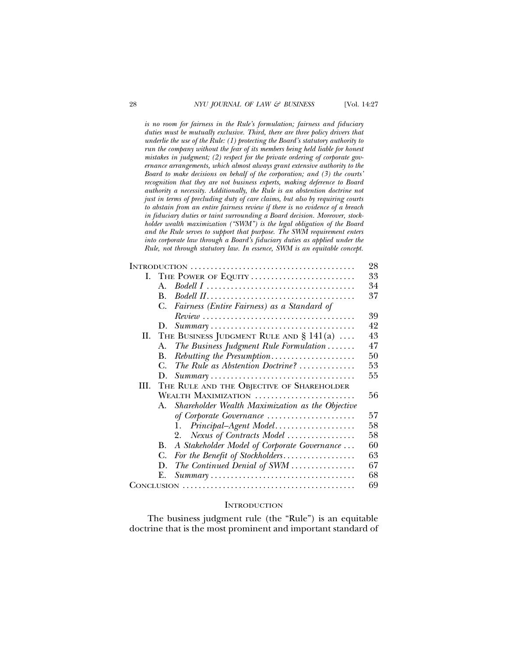*is no room for fairness in the Rule's formulation; fairness and fiduciary duties must be mutually exclusive. Third, there are three policy drivers that underlie the use of the Rule: (1) protecting the Board's statutory authority to run the company without the fear of its members being held liable for honest mistakes in judgment; (2) respect for the private ordering of corporate governance arrangements, which almost always grant extensive authority to the Board to make decisions on behalf of the corporation; and (3) the courts' recognition that they are not business experts, making deference to Board authority a necessity. Additionally, the Rule is an abstention doctrine not just in terms of precluding duty of care claims, but also by requiring courts to abstain from an entire fairness review if there is no evidence of a breach in fiduciary duties or taint surrounding a Board decision. Moreover, stockholder wealth maximization ("SWM") is the legal obligation of the Board and the Rule serves to support that purpose. The SWM requirement enters into corporate law through a Board's fiduciary duties as applied under the Rule, not through statutory law. In essence, SWM is an equitable concept.*

|     |                     |                                                                                        | 28 |
|-----|---------------------|----------------------------------------------------------------------------------------|----|
|     |                     | I. THE POWER OF EQUITY                                                                 | 33 |
|     | $\mathbf{A}$        |                                                                                        | 34 |
|     | <b>B.</b>           |                                                                                        | 37 |
|     | C.                  | Fairness (Entire Fairness) as a Standard of                                            |    |
|     |                     | $Review \dots \dots \dots \dots \dots \dots \dots \dots \dots \dots \dots \dots \dots$ | 39 |
|     | D.                  | $Summary \ldots \ldots \ldots \ldots \ldots \ldots \ldots \ldots \ldots \ldots \ldots$ | 42 |
|     |                     | II. THE BUSINESS JUDGMENT RULE AND $\S 141(a)$                                         | 43 |
|     | А.                  | The Business Judgment Rule Formulation                                                 | 47 |
|     | В.                  | Rebutting the Presumption                                                              | 50 |
|     | C.                  | The Rule as Abstention Doctrine?                                                       | 53 |
|     | D.                  |                                                                                        | 55 |
| HI. |                     | THE RULE AND THE OBJECTIVE OF SHAREHOLDER                                              |    |
|     | WEALTH MAXIMIZATION |                                                                                        | 56 |
|     | $A_{-}$             | Shareholder Wealth Maximization as the Objective                                       |    |
|     |                     | of Corporate Governance                                                                | 57 |
|     |                     | Principal-Agent Model<br>1.                                                            | 58 |
|     |                     | Nexus of Contracts Model<br>2.                                                         | 58 |
|     | В.                  | A Stakeholder Model of Corporate Governance                                            | 60 |
|     | C.                  | For the Benefit of Stockholders                                                        | 63 |
|     | D.                  | The Continued Denial of SWM                                                            | 67 |
|     | Е.                  | $Summary \ldots \ldots \ldots \ldots \ldots \ldots \ldots \ldots \ldots \ldots \ldots$ | 68 |
|     |                     |                                                                                        | 69 |

#### **INTRODUCTION**

The business judgment rule (the "Rule") is an equitable doctrine that is the most prominent and important standard of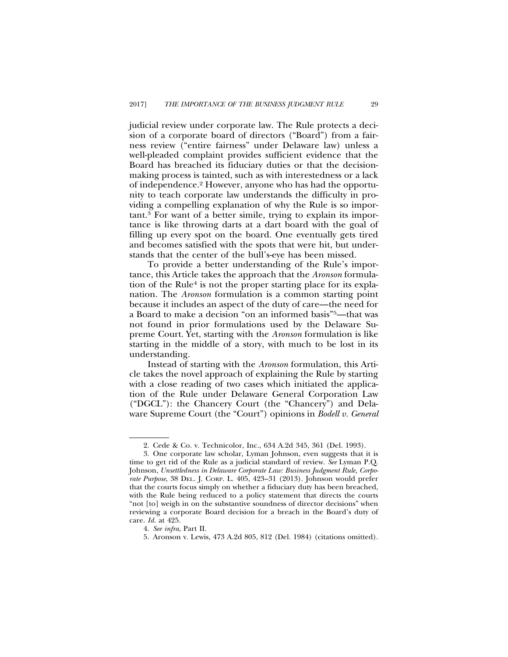judicial review under corporate law. The Rule protects a decision of a corporate board of directors ("Board") from a fairness review ("entire fairness" under Delaware law) unless a well-pleaded complaint provides sufficient evidence that the Board has breached its fiduciary duties or that the decisionmaking process is tainted, such as with interestedness or a lack of independence.2 However, anyone who has had the opportunity to teach corporate law understands the difficulty in providing a compelling explanation of why the Rule is so important.3 For want of a better simile, trying to explain its importance is like throwing darts at a dart board with the goal of filling up every spot on the board. One eventually gets tired and becomes satisfied with the spots that were hit, but understands that the center of the bull's-eye has been missed.

To provide a better understanding of the Rule's importance, this Article takes the approach that the *Aronson* formulation of the Rule<sup>4</sup> is not the proper starting place for its explanation. The *Aronson* formulation is a common starting point because it includes an aspect of the duty of care—the need for a Board to make a decision "on an informed basis"5—that was not found in prior formulations used by the Delaware Supreme Court. Yet, starting with the *Aronson* formulation is like starting in the middle of a story, with much to be lost in its understanding.

Instead of starting with the *Aronson* formulation, this Article takes the novel approach of explaining the Rule by starting with a close reading of two cases which initiated the application of the Rule under Delaware General Corporation Law ("DGCL"): the Chancery Court (the "Chancery") and Delaware Supreme Court (the "Court") opinions in *Bodell v. General*

<sup>2.</sup> Cede & Co. v. Technicolor, Inc., 634 A.2d 345, 361 (Del. 1993).

<sup>3.</sup> One corporate law scholar, Lyman Johnson, even suggests that it is time to get rid of the Rule as a judicial standard of review. *See* Lyman P.Q. Johnson, *Unsettledness in Delaware Corporate Law: Business Judgment Rule, Corporate Purpose*, 38 DEL. J. CORP. L. 405, 423–31 (2013). Johnson would prefer that the courts focus simply on whether a fiduciary duty has been breached, with the Rule being reduced to a policy statement that directs the courts "not [to] weigh in on the substantive soundness of director decisions" when reviewing a corporate Board decision for a breach in the Board's duty of care. *Id.* at 425.

<sup>4.</sup> *See infra*, Part II.

<sup>5.</sup> Aronson v. Lewis, 473 A.2d 805, 812 (Del. 1984) (citations omitted).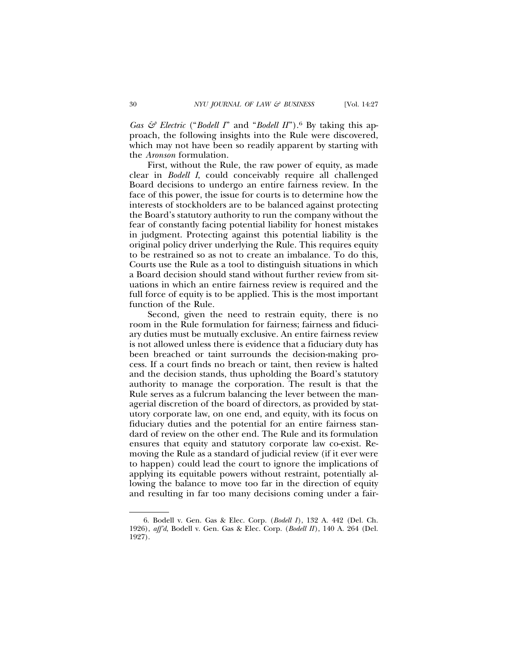*Gas & Electric* ("*Bodell I*" and "*Bodell II*").<sup>6</sup> By taking this approach, the following insights into the Rule were discovered, which may not have been so readily apparent by starting with the *Aronson* formulation.

First, without the Rule, the raw power of equity, as made clear in *Bodell I*, could conceivably require all challenged Board decisions to undergo an entire fairness review. In the face of this power, the issue for courts is to determine how the interests of stockholders are to be balanced against protecting the Board's statutory authority to run the company without the fear of constantly facing potential liability for honest mistakes in judgment. Protecting against this potential liability is the original policy driver underlying the Rule. This requires equity to be restrained so as not to create an imbalance. To do this, Courts use the Rule as a tool to distinguish situations in which a Board decision should stand without further review from situations in which an entire fairness review is required and the full force of equity is to be applied. This is the most important function of the Rule.

Second, given the need to restrain equity, there is no room in the Rule formulation for fairness; fairness and fiduciary duties must be mutually exclusive. An entire fairness review is not allowed unless there is evidence that a fiduciary duty has been breached or taint surrounds the decision-making process. If a court finds no breach or taint, then review is halted and the decision stands, thus upholding the Board's statutory authority to manage the corporation. The result is that the Rule serves as a fulcrum balancing the lever between the managerial discretion of the board of directors, as provided by statutory corporate law, on one end, and equity, with its focus on fiduciary duties and the potential for an entire fairness standard of review on the other end. The Rule and its formulation ensures that equity and statutory corporate law co-exist. Removing the Rule as a standard of judicial review (if it ever were to happen) could lead the court to ignore the implications of applying its equitable powers without restraint, potentially allowing the balance to move too far in the direction of equity and resulting in far too many decisions coming under a fair-

<sup>6.</sup> Bodell v. Gen. Gas & Elec. Corp. (*Bodell I*), 132 A. 442 (Del. Ch. 1926), *aff'd*, Bodell v. Gen. Gas & Elec. Corp. (*Bodell II*), 140 A. 264 (Del. 1927).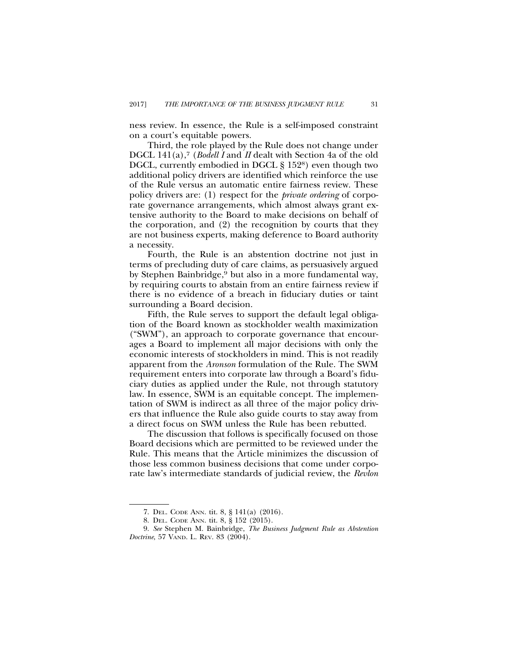ness review. In essence, the Rule is a self-imposed constraint on a court's equitable powers.

Third, the role played by the Rule does not change under DGCL 141(a),<sup>7</sup> (*Bodell I* and *II* dealt with Section 4a of the old DGCL, currently embodied in DGCL § 1528) even though two additional policy drivers are identified which reinforce the use of the Rule versus an automatic entire fairness review. These policy drivers are: (1) respect for the *private ordering* of corporate governance arrangements, which almost always grant extensive authority to the Board to make decisions on behalf of the corporation, and (2) the recognition by courts that they are not business experts, making deference to Board authority a necessity.

Fourth, the Rule is an abstention doctrine not just in terms of precluding duty of care claims, as persuasively argued by Stephen Bainbridge,9 but also in a more fundamental way, by requiring courts to abstain from an entire fairness review if there is no evidence of a breach in fiduciary duties or taint surrounding a Board decision.

Fifth, the Rule serves to support the default legal obligation of the Board known as stockholder wealth maximization ("SWM"), an approach to corporate governance that encourages a Board to implement all major decisions with only the economic interests of stockholders in mind. This is not readily apparent from the *Aronson* formulation of the Rule. The SWM requirement enters into corporate law through a Board's fiduciary duties as applied under the Rule, not through statutory law. In essence, SWM is an equitable concept. The implementation of SWM is indirect as all three of the major policy drivers that influence the Rule also guide courts to stay away from a direct focus on SWM unless the Rule has been rebutted.

The discussion that follows is specifically focused on those Board decisions which are permitted to be reviewed under the Rule. This means that the Article minimizes the discussion of those less common business decisions that come under corporate law's intermediate standards of judicial review, the *Revlon*

<sup>7.</sup> DEL. CODE ANN. tit. 8, § 141(a) (2016).

<sup>8.</sup> DEL. CODE ANN. tit. 8, § 152 (2015).

<sup>9.</sup> *See* Stephen M. Bainbridge, *The Business Judgment Rule as Abstention Doctrine*, 57 VAND. L. REV. 83 (2004).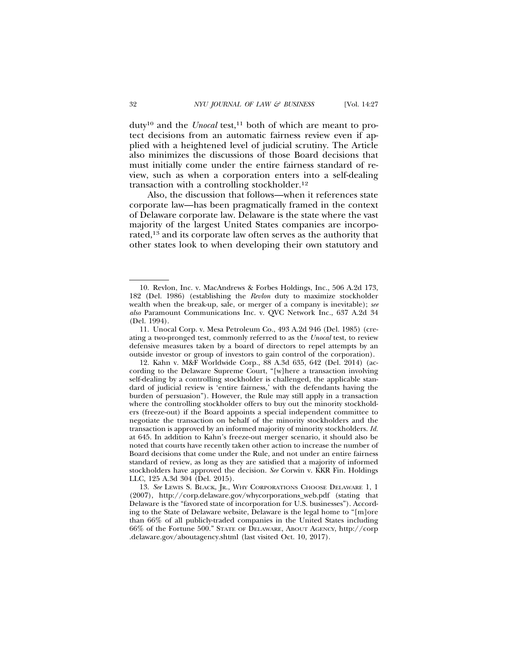duty<sup>10</sup> and the *Unocal* test,<sup>11</sup> both of which are meant to protect decisions from an automatic fairness review even if applied with a heightened level of judicial scrutiny. The Article also minimizes the discussions of those Board decisions that must initially come under the entire fairness standard of review, such as when a corporation enters into a self-dealing transaction with a controlling stockholder.12

Also, the discussion that follows—when it references state corporate law—has been pragmatically framed in the context of Delaware corporate law. Delaware is the state where the vast majority of the largest United States companies are incorporated,13 and its corporate law often serves as the authority that other states look to when developing their own statutory and

<sup>10.</sup> Revlon, Inc. v. MacAndrews & Forbes Holdings, Inc., 506 A.2d 173, 182 (Del. 1986) (establishing the *Revlon* duty to maximize stockholder wealth when the break-up, sale, or merger of a company is inevitable); *see also* Paramount Communications Inc. v. QVC Network Inc., 637 A.2d 34 (Del. 1994).

<sup>11.</sup> Unocal Corp. v. Mesa Petroleum Co., 493 A.2d 946 (Del. 1985) (creating a two-pronged test, commonly referred to as the *Unocal* test, to review defensive measures taken by a board of directors to repel attempts by an outside investor or group of investors to gain control of the corporation).

<sup>12.</sup> Kahn v. M&F Worldwide Corp., 88 A.3d 635, 642 (Del. 2014) (according to the Delaware Supreme Court, "[w]here a transaction involving self-dealing by a controlling stockholder is challenged, the applicable standard of judicial review is 'entire fairness,' with the defendants having the burden of persuasion"). However, the Rule may still apply in a transaction where the controlling stockholder offers to buy out the minority stockholders (freeze-out) if the Board appoints a special independent committee to negotiate the transaction on behalf of the minority stockholders and the transaction is approved by an informed majority of minority stockholders. *Id.* at 645. In addition to Kahn's freeze-out merger scenario, it should also be noted that courts have recently taken other action to increase the number of Board decisions that come under the Rule, and not under an entire fairness standard of review, as long as they are satisfied that a majority of informed stockholders have approved the decision. *See* Corwin v. KKR Fin. Holdings LLC, 125 A.3d 304 (Del. 2015).

<sup>13.</sup> *See* LEWIS S. BLACK, JR., WHY CORPORATIONS CHOOSE DELAWARE 1, 1 (2007), http://corp.delaware.gov/whycorporations\_web.pdf (stating that Delaware is the "favored state of incorporation for U.S. businesses"). According to the State of Delaware website, Delaware is the legal home to "[m]ore than 66% of all publicly-traded companies in the United States including 66% of the Fortune 500." STATE OF DELAWARE, ABOUT AGENCY, http://corp .delaware.gov/aboutagency.shtml (last visited Oct. 10, 2017).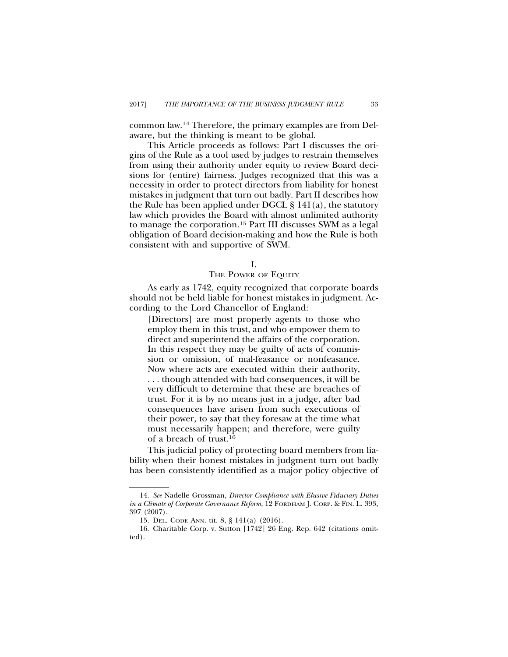common law.14 Therefore, the primary examples are from Delaware, but the thinking is meant to be global.

This Article proceeds as follows: Part I discusses the origins of the Rule as a tool used by judges to restrain themselves from using their authority under equity to review Board decisions for (entire) fairness. Judges recognized that this was a necessity in order to protect directors from liability for honest mistakes in judgment that turn out badly. Part II describes how the Rule has been applied under DGCL § 141(a), the statutory law which provides the Board with almost unlimited authority to manage the corporation.15 Part III discusses SWM as a legal obligation of Board decision-making and how the Rule is both consistent with and supportive of SWM.

# THE POWER OF EQUITY

As early as 1742, equity recognized that corporate boards should not be held liable for honest mistakes in judgment. According to the Lord Chancellor of England:

[Directors] are most properly agents to those who employ them in this trust, and who empower them to direct and superintend the affairs of the corporation. In this respect they may be guilty of acts of commission or omission, of mal-feasance or nonfeasance. Now where acts are executed within their authority, . . . though attended with bad consequences, it will be very difficult to determine that these are breaches of trust. For it is by no means just in a judge, after bad consequences have arisen from such executions of their power, to say that they foresaw at the time what must necessarily happen; and therefore, were guilty of a breach of trust.16

This judicial policy of protecting board members from liability when their honest mistakes in judgment turn out badly has been consistently identified as a major policy objective of

I.

<sup>14.</sup> *See* Nadelle Grossman, *Director Compliance with Elusive Fiduciary Duties in a Climate of Corporate Governance Reform*, 12 FORDHAM J. CORP. & FIN. L. 393, 397 (2007).

<sup>15.</sup> DEL. CODE ANN. tit. 8, § 141(a) (2016).

<sup>16.</sup> Charitable Corp. v. Sutton [1742] 26 Eng. Rep. 642 (citations omitted).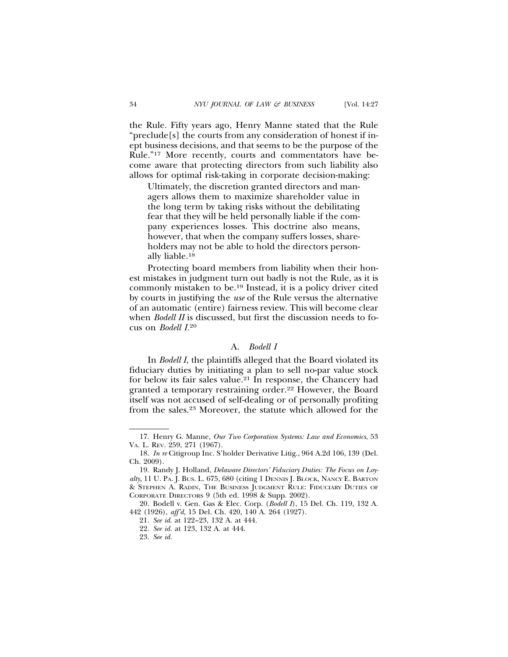the Rule. Fifty years ago, Henry Manne stated that the Rule "preclude[s] the courts from any consideration of honest if inept business decisions, and that seems to be the purpose of the Rule."17 More recently, courts and commentators have become aware that protecting directors from such liability also

Ultimately, the discretion granted directors and managers allows them to maximize shareholder value in the long term by taking risks without the debilitating fear that they will be held personally liable if the company experiences losses. This doctrine also means, however, that when the company suffers losses, shareholders may not be able to hold the directors personally liable.18

allows for optimal risk-taking in corporate decision-making:

Protecting board members from liability when their honest mistakes in judgment turn out badly is not the Rule, as it is commonly mistaken to be.19 Instead, it is a policy driver cited by courts in justifying the *use* of the Rule versus the alternative of an automatic (entire) fairness review. This will become clear when *Bodell II* is discussed, but first the discussion needs to focus on *Bodell I.*<sup>20</sup>

## A. *Bodell I*

In *Bodell I*, the plaintiffs alleged that the Board violated its fiduciary duties by initiating a plan to sell no-par value stock for below its fair sales value.<sup>21</sup> In response, the Chancery had granted a temporary restraining order.22 However, the Board itself was not accused of self-dealing or of personally profiting from the sales.23 Moreover, the statute which allowed for the

<sup>17.</sup> Henry G. Manne, *Our Two Corporation Systems: Law and Economics*, 53 VA. L. REV. 259, 271 (1967).

<sup>18.</sup> *In re* Citigroup Inc. S'holder Derivative Litig., 964 A.2d 106, 139 (Del. Ch. 2009).

<sup>19.</sup> Randy J. Holland, *Delaware Directors' Fiduciary Duties: The Focus on Loyalty*, 11 U. PA. J. BUS. L. 675, 680 (citing 1 DENNIS J. BLOCK, NANCY E. BARTON & STEPHEN A. RADIN, THE BUSINESS JUDGMENT RULE: FIDUCIARY DUTIES OF CORPORATE DIRECTORS 9 (5th ed. 1998 & Supp. 2002).

<sup>20.</sup> Bodell v. Gen. Gas & Elec. Corp. (*Bodell I*), 15 Del. Ch. 119, 132 A. 442 (1926), *aff'd*, 15 Del. Ch. 420, 140 A. 264 (1927).

<sup>21.</sup> *See id*. at 122–23, 132 A. at 444.

<sup>22.</sup> *See id.* at 123, 132 A. at 444.

<sup>23.</sup> *See id.*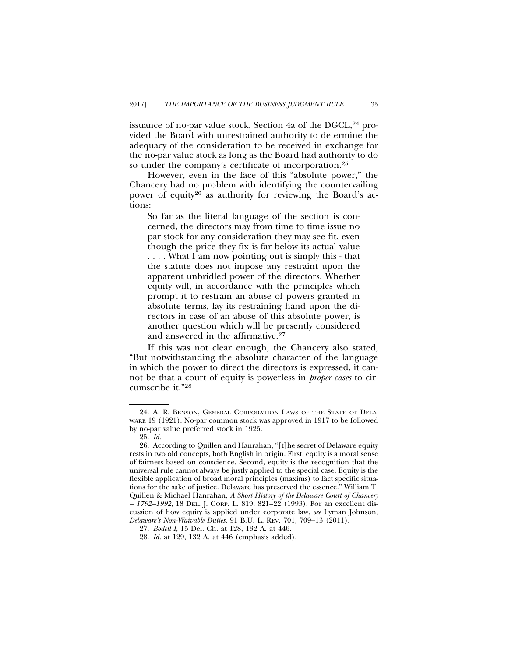issuance of no-par value stock, Section 4a of the DGCL, $^{24}$  provided the Board with unrestrained authority to determine the adequacy of the consideration to be received in exchange for the no-par value stock as long as the Board had authority to do so under the company's certificate of incorporation.25

However, even in the face of this "absolute power," the Chancery had no problem with identifying the countervailing power of equity<sup>26</sup> as authority for reviewing the Board's actions:

So far as the literal language of the section is concerned, the directors may from time to time issue no par stock for any consideration they may see fit, even though the price they fix is far below its actual value . . . . What I am now pointing out is simply this - that the statute does not impose any restraint upon the apparent unbridled power of the directors. Whether equity will, in accordance with the principles which prompt it to restrain an abuse of powers granted in absolute terms, lay its restraining hand upon the directors in case of an abuse of this absolute power, is another question which will be presently considered and answered in the affirmative.27

If this was not clear enough, the Chancery also stated, "But notwithstanding the absolute character of the language in which the power to direct the directors is expressed, it cannot be that a court of equity is powerless in *proper cases* to circumscribe it."28

<sup>24.</sup> A. R. BENSON, GENERAL CORPORATION LAWS OF THE STATE OF DELA-WARE 19 (1921). No-par common stock was approved in 1917 to be followed by no-par value preferred stock in 1925.

<sup>25.</sup> *Id*.

<sup>26.</sup> According to Quillen and Hanrahan, "[t]he secret of Delaware equity rests in two old concepts, both English in origin. First, equity is a moral sense of fairness based on conscience. Second, equity is the recognition that the universal rule cannot always be justly applied to the special case. Equity is the flexible application of broad moral principles (maxims) to fact specific situations for the sake of justice. Delaware has preserved the essence." William T. Quillen & Michael Hanrahan, *A Short History of the Delaware Court of Chancery – 1792–1992*, 18 DEL. J. CORP. L. 819, 821–22 (1993). For an excellent discussion of how equity is applied under corporate law, *see* Lyman Johnson, *Delaware's Non-Waivable Duties*, 91 B.U. L. REV. 701, 709–13 (2011).

<sup>27.</sup> *Bodell I*, 15 Del. Ch. at 128, 132 A. at 446.

<sup>28.</sup> *Id.* at 129, 132 A. at 446 (emphasis added).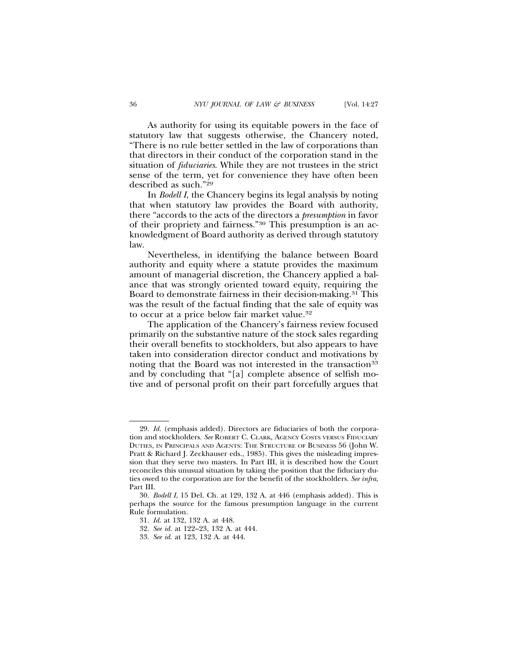As authority for using its equitable powers in the face of statutory law that suggests otherwise, the Chancery noted, "There is no rule better settled in the law of corporations than that directors in their conduct of the corporation stand in the situation of *fiduciaries*. While they are not trustees in the strict sense of the term, yet for convenience they have often been described as such."29

In *Bodell I*, the Chancery begins its legal analysis by noting that when statutory law provides the Board with authority, there "accords to the acts of the directors a *presumption* in favor of their propriety and fairness."30 This presumption is an acknowledgment of Board authority as derived through statutory law.

Nevertheless, in identifying the balance between Board authority and equity where a statute provides the maximum amount of managerial discretion, the Chancery applied a balance that was strongly oriented toward equity, requiring the Board to demonstrate fairness in their decision-making.<sup>31</sup> This was the result of the factual finding that the sale of equity was to occur at a price below fair market value.32

The application of the Chancery's fairness review focused primarily on the substantive nature of the stock sales regarding their overall benefits to stockholders, but also appears to have taken into consideration director conduct and motivations by noting that the Board was not interested in the transaction<sup>33</sup> and by concluding that "[a] complete absence of selfish motive and of personal profit on their part forcefully argues that

<sup>29.</sup> *Id.* (emphasis added). Directors are fiduciaries of both the corporation and stockholders. *See* ROBERT C. CLARK, AGENCY COSTS VERSUS FIDUCIARY DUTIES, IN PRINCIPALS AND AGENTS: THE STRUCTURE OF BUSINESS 56 (John W. Pratt & Richard J. Zeckhauser eds., 1985). This gives the misleading impression that they serve two masters. In Part III, it is described how the Court reconciles this unusual situation by taking the position that the fiduciary duties owed to the corporation are for the benefit of the stockholders. *See infra*, Part III.

<sup>30.</sup> *Bodell I*, 15 Del. Ch. at 129, 132 A. at 446 (emphasis added)*.* This is perhaps the source for the famous presumption language in the current Rule formulation.

<sup>31.</sup> *Id.* at 132, 132 A. at 448.

<sup>32.</sup> *See id.* at 122–23, 132 A. at 444.

<sup>33.</sup> *See id.* at 123, 132 A. at 444.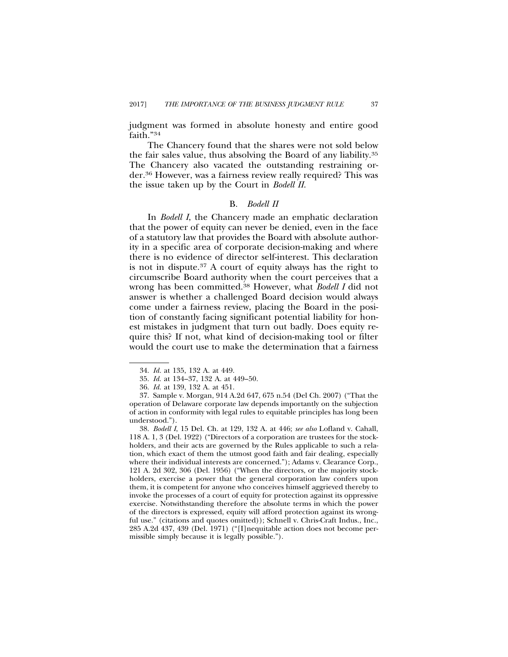judgment was formed in absolute honesty and entire good faith."34

The Chancery found that the shares were not sold below the fair sales value, thus absolving the Board of any liability.35 The Chancery also vacated the outstanding restraining order.36 However, was a fairness review really required? This was the issue taken up by the Court in *Bodell II*.

#### B. *Bodell II*

In *Bodell I*, the Chancery made an emphatic declaration that the power of equity can never be denied, even in the face of a statutory law that provides the Board with absolute authority in a specific area of corporate decision-making and where there is no evidence of director self-interest. This declaration is not in dispute.37 A court of equity always has the right to circumscribe Board authority when the court perceives that a wrong has been committed.38 However, what *Bodell I* did not answer is whether a challenged Board decision would always come under a fairness review, placing the Board in the position of constantly facing significant potential liability for honest mistakes in judgment that turn out badly. Does equity require this? If not, what kind of decision-making tool or filter would the court use to make the determination that a fairness

38. *Bodell I*, 15 Del. Ch. at 129, 132 A. at 446; *see also* Lofland v. Cahall, 118 A. 1, 3 (Del. 1922) ("Directors of a corporation are trustees for the stockholders, and their acts are governed by the Rules applicable to such a relation, which exact of them the utmost good faith and fair dealing, especially where their individual interests are concerned."); Adams v. Clearance Corp., 121 A. 2d 302, 306 (Del. 1956) ("When the directors, or the majority stockholders, exercise a power that the general corporation law confers upon them, it is competent for anyone who conceives himself aggrieved thereby to invoke the processes of a court of equity for protection against its oppressive exercise. Notwithstanding therefore the absolute terms in which the power of the directors is expressed, equity will afford protection against its wrongful use." (citations and quotes omitted)); Schnell v. Chris-Craft Indus., Inc., 285 A.2d 437, 439 (Del. 1971) ("[I]nequitable action does not become permissible simply because it is legally possible.").

<sup>34.</sup> *Id.* at 135, 132 A. at 449.

<sup>35.</sup> *Id.* at 134–37, 132 A. at 449–50.

<sup>36.</sup> *Id.* at 139, 132 A. at 451.

<sup>37.</sup> Sample v. Morgan, 914 A.2d 647, 675 n.54 (Del Ch. 2007) ("That the operation of Delaware corporate law depends importantly on the subjection of action in conformity with legal rules to equitable principles has long been understood.").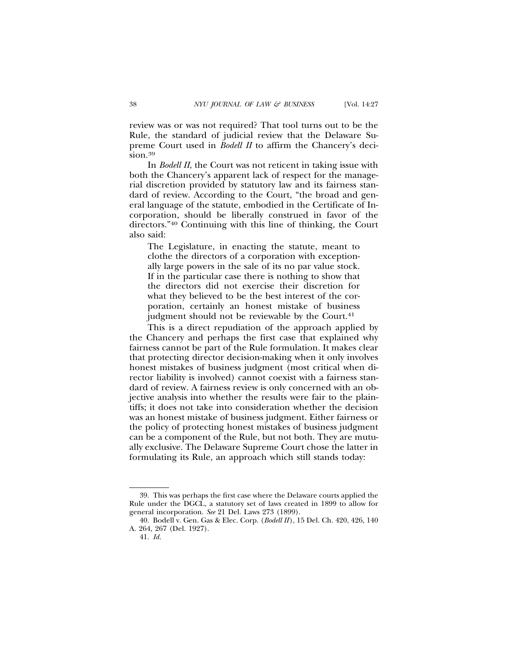review was or was not required? That tool turns out to be the Rule, the standard of judicial review that the Delaware Supreme Court used in *Bodell II* to affirm the Chancery's decision.<sup>39</sup>

In *Bodell II*, the Court was not reticent in taking issue with both the Chancery's apparent lack of respect for the managerial discretion provided by statutory law and its fairness standard of review. According to the Court, "the broad and general language of the statute, embodied in the Certificate of Incorporation, should be liberally construed in favor of the directors."40 Continuing with this line of thinking, the Court also said:

The Legislature, in enacting the statute, meant to clothe the directors of a corporation with exceptionally large powers in the sale of its no par value stock. If in the particular case there is nothing to show that the directors did not exercise their discretion for what they believed to be the best interest of the corporation, certainly an honest mistake of business judgment should not be reviewable by the Court.<sup>41</sup>

This is a direct repudiation of the approach applied by the Chancery and perhaps the first case that explained why fairness cannot be part of the Rule formulation. It makes clear that protecting director decision-making when it only involves honest mistakes of business judgment (most critical when director liability is involved) cannot coexist with a fairness standard of review. A fairness review is only concerned with an objective analysis into whether the results were fair to the plaintiffs; it does not take into consideration whether the decision was an honest mistake of business judgment. Either fairness or the policy of protecting honest mistakes of business judgment can be a component of the Rule, but not both. They are mutually exclusive. The Delaware Supreme Court chose the latter in formulating its Rule, an approach which still stands today:

<sup>39.</sup> This was perhaps the first case where the Delaware courts applied the Rule under the DGCL, a statutory set of laws created in 1899 to allow for general incorporation. *See* 21 Del. Laws 273 (1899).

<sup>40.</sup> Bodell v. Gen. Gas & Elec. Corp. (*Bodell II*), 15 Del. Ch. 420, 426, 140 A. 264, 267 (Del. 1927).

<sup>41.</sup> *Id.*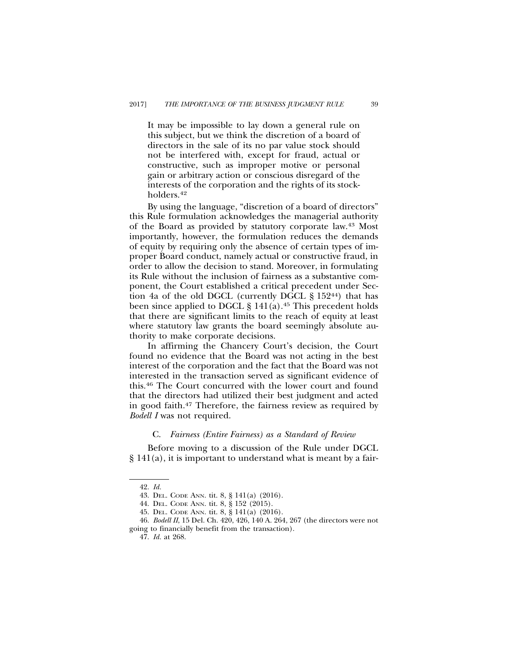It may be impossible to lay down a general rule on this subject, but we think the discretion of a board of directors in the sale of its no par value stock should not be interfered with, except for fraud, actual or constructive, such as improper motive or personal gain or arbitrary action or conscious disregard of the interests of the corporation and the rights of its stockholders.42

By using the language, "discretion of a board of directors" this Rule formulation acknowledges the managerial authority of the Board as provided by statutory corporate law.43 Most importantly, however, the formulation reduces the demands of equity by requiring only the absence of certain types of improper Board conduct, namely actual or constructive fraud, in order to allow the decision to stand. Moreover, in formulating its Rule without the inclusion of fairness as a substantive component, the Court established a critical precedent under Section 4a of the old DGCL (currently DGCL § 15244) that has been since applied to DGCL  $\S 141(a).45$  This precedent holds that there are significant limits to the reach of equity at least where statutory law grants the board seemingly absolute authority to make corporate decisions.

In affirming the Chancery Court's decision, the Court found no evidence that the Board was not acting in the best interest of the corporation and the fact that the Board was not interested in the transaction served as significant evidence of this.46 The Court concurred with the lower court and found that the directors had utilized their best judgment and acted in good faith.47 Therefore, the fairness review as required by *Bodell I* was not required.

#### C. *Fairness (Entire Fairness) as a Standard of Review*

Before moving to a discussion of the Rule under DGCL § 141(a), it is important to understand what is meant by a fair-

<sup>42.</sup> *Id.*

<sup>43.</sup> DEL. CODE ANN. tit. 8, § 141(a) (2016).

<sup>44.</sup> DEL. CODE ANN. tit. 8, § 152 (2015).

<sup>45.</sup> DEL. CODE ANN. tit. 8, § 141(a) (2016).

<sup>46.</sup> *Bodell II*, 15 Del. Ch. 420, 426, 140 A. 264, 267 (the directors were not going to financially benefit from the transaction).

<sup>47.</sup> *Id.* at 268.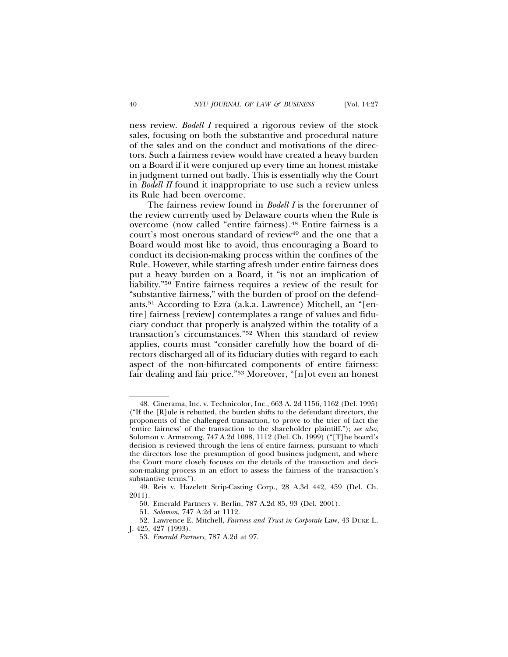ness review. *Bodell I* required a rigorous review of the stock sales, focusing on both the substantive and procedural nature of the sales and on the conduct and motivations of the directors. Such a fairness review would have created a heavy burden on a Board if it were conjured up every time an honest mistake in judgment turned out badly. This is essentially why the Court in *Bodell II* found it inappropriate to use such a review unless its Rule had been overcome.

The fairness review found in *Bodell I* is the forerunner of the review currently used by Delaware courts when the Rule is overcome (now called "entire fairness).48 Entire fairness is a court's most onerous standard of review<sup>49</sup> and the one that a Board would most like to avoid, thus encouraging a Board to conduct its decision-making process within the confines of the Rule. However, while starting afresh under entire fairness does put a heavy burden on a Board, it "is not an implication of liability."50 Entire fairness requires a review of the result for "substantive fairness," with the burden of proof on the defendants.51 According to Ezra (a.k.a. Lawrence) Mitchell, an "[entire] fairness [review] contemplates a range of values and fiduciary conduct that properly is analyzed within the totality of a transaction's circumstances."52 When this standard of review applies, courts must "consider carefully how the board of directors discharged all of its fiduciary duties with regard to each aspect of the non-bifurcated components of entire fairness: fair dealing and fair price."53 Moreover, "[n]ot even an honest

<sup>48.</sup> Cinerama, Inc. v. Technicolor, Inc., 663 A. 2d 1156, 1162 (Del. 1995) ("If the [R]ule is rebutted, the burden shifts to the defendant directors, the proponents of the challenged transaction, to prove to the trier of fact the 'entire fairness' of the transaction to the shareholder plaintiff."); *see also*, Solomon v. Armstrong, 747 A.2d 1098, 1112 (Del. Ch. 1999) ("[T]he board's decision is reviewed through the lens of entire fairness, pursuant to which the directors lose the presumption of good business judgment, and where the Court more closely focuses on the details of the transaction and decision-making process in an effort to assess the fairness of the transaction's substantive terms.").

<sup>49.</sup> Reis v. Hazelett Strip-Casting Corp., 28 A.3d 442, 459 (Del. Ch. 2011).

<sup>50.</sup> Emerald Partners v. Berlin, 787 A.2d 85, 93 (Del. 2001).

<sup>51.</sup> *Solomon*, 747 A.2d at 1112.

<sup>52.</sup> Lawrence E. Mitchell, *Fairness and Trust in Corporate* Law, 43 DUKE L. J. 425, 427 (1993).

<sup>53.</sup> *Emerald Partners*, 787 A.2d at 97.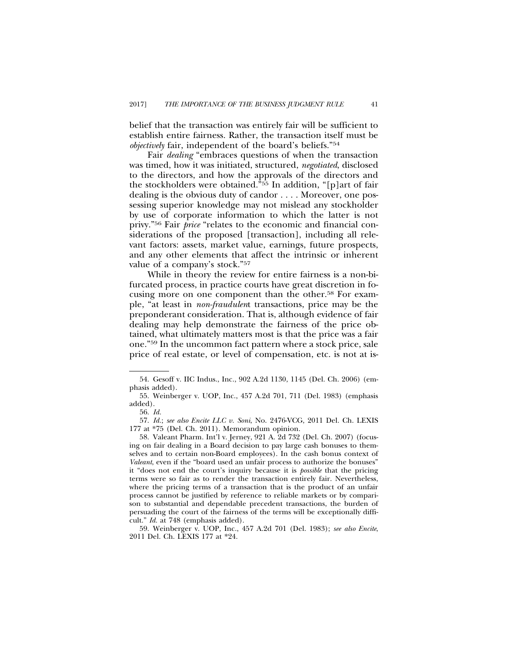belief that the transaction was entirely fair will be sufficient to establish entire fairness. Rather, the transaction itself must be *objectively* fair, independent of the board's beliefs."54

Fair *dealing* "embraces questions of when the transaction was timed, how it was initiated, structured, *negotiated*, disclosed to the directors, and how the approvals of the directors and the stockholders were obtained."55 In addition, "[p]art of fair dealing is the obvious duty of candor . . . . Moreover, one possessing superior knowledge may not mislead any stockholder by use of corporate information to which the latter is not privy."56 Fair *price* "relates to the economic and financial considerations of the proposed [transaction], including all relevant factors: assets, market value, earnings, future prospects, and any other elements that affect the intrinsic or inherent value of a company's stock."57

While in theory the review for entire fairness is a non-bifurcated process, in practice courts have great discretion in focusing more on one component than the other.58 For example, "at least in *non-fraudulen*t transactions, price may be the preponderant consideration. That is, although evidence of fair dealing may help demonstrate the fairness of the price obtained, what ultimately matters most is that the price was a fair one."59 In the uncommon fact pattern where a stock price, sale price of real estate, or level of compensation, etc. is not at is-

57. *Id.*; *see also Encite LLC v. Soni*, No. 2476-VCG, 2011 Del. Ch. LEXIS 177 at \*75 (Del. Ch. 2011). Memorandum opinion.

58. Valeant Pharm. Int'l v. Jerney, 921 A. 2d 732 (Del. Ch. 2007) (focusing on fair dealing in a Board decision to pay large cash bonuses to themselves and to certain non-Board employees). In the cash bonus context of *Valeant*, even if the "board used an unfair process to authorize the bonuses" it "does not end the court's inquiry because it is *possible* that the pricing terms were so fair as to render the transaction entirely fair. Nevertheless, where the pricing terms of a transaction that is the product of an unfair process cannot be justified by reference to reliable markets or by comparison to substantial and dependable precedent transactions, the burden of persuading the court of the fairness of the terms will be exceptionally difficult." *Id.* at 748 (emphasis added).

59. Weinberger v. UOP, Inc., 457 A.2d 701 (Del. 1983); *see also Encite*, 2011 Del. Ch. LEXIS 177 at \*24.

<sup>54.</sup> Gesoff v. IIC Indus., Inc., 902 A.2d 1130, 1145 (Del. Ch. 2006) (emphasis added).

<sup>55.</sup> Weinberger v. UOP, Inc., 457 A.2d 701, 711 (Del. 1983) (emphasis added).

<sup>56.</sup> *Id.*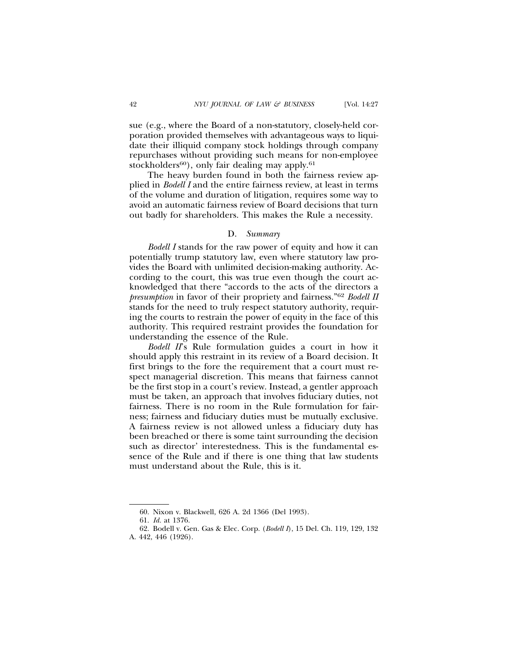sue (e.g., where the Board of a non-statutory, closely-held corporation provided themselves with advantageous ways to liquidate their illiquid company stock holdings through company repurchases without providing such means for non-employee stockholders<sup>60</sup>), only fair dealing may apply.<sup>61</sup>

The heavy burden found in both the fairness review applied in *Bodell I* and the entire fairness review, at least in terms of the volume and duration of litigation, requires some way to avoid an automatic fairness review of Board decisions that turn out badly for shareholders. This makes the Rule a necessity.

## D. *Summary*

*Bodell I* stands for the raw power of equity and how it can potentially trump statutory law, even where statutory law provides the Board with unlimited decision-making authority. According to the court, this was true even though the court acknowledged that there "accords to the acts of the directors a *presumption* in favor of their propriety and fairness."62 *Bodell II* stands for the need to truly respect statutory authority, requiring the courts to restrain the power of equity in the face of this authority. This required restraint provides the foundation for understanding the essence of the Rule.

*Bodell II*'s Rule formulation guides a court in how it should apply this restraint in its review of a Board decision. It first brings to the fore the requirement that a court must respect managerial discretion. This means that fairness cannot be the first stop in a court's review. Instead, a gentler approach must be taken, an approach that involves fiduciary duties, not fairness. There is no room in the Rule formulation for fairness; fairness and fiduciary duties must be mutually exclusive. A fairness review is not allowed unless a fiduciary duty has been breached or there is some taint surrounding the decision such as director' interestedness. This is the fundamental essence of the Rule and if there is one thing that law students must understand about the Rule, this is it.

<sup>60.</sup> Nixon v. Blackwell, 626 A. 2d 1366 (Del 1993).

<sup>61.</sup> *Id.* at 1376.

<sup>62.</sup> Bodell v. Gen. Gas & Elec. Corp. (*Bodell I*), 15 Del. Ch. 119, 129, 132 A. 442, 446 (1926).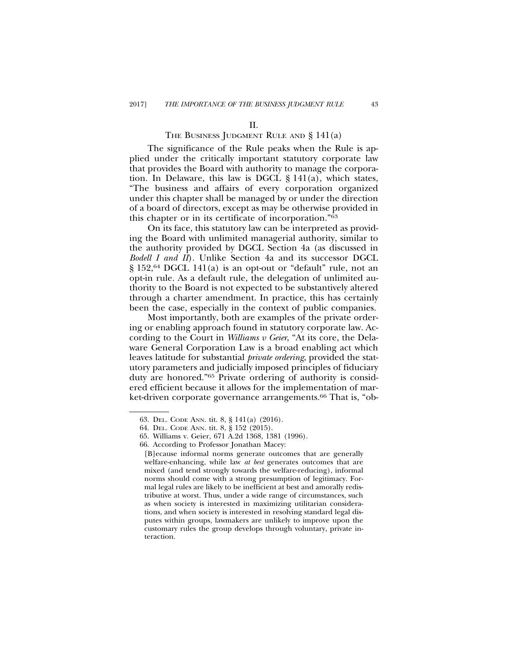## THE BUSINESS JUDGMENT RULE AND  $\S 141(a)$

The significance of the Rule peaks when the Rule is applied under the critically important statutory corporate law that provides the Board with authority to manage the corporation. In Delaware, this law is DGCL § 141(a), which states, "The business and affairs of every corporation organized under this chapter shall be managed by or under the direction of a board of directors, except as may be otherwise provided in this chapter or in its certificate of incorporation."63

On its face, this statutory law can be interpreted as providing the Board with unlimited managerial authority, similar to the authority provided by DGCL Section 4a (as discussed in *Bodell I and II*). Unlike Section 4a and its successor DGCL § 152,64 DGCL 141(a) is an opt-out or "default" rule, not an opt-in rule. As a default rule, the delegation of unlimited authority to the Board is not expected to be substantively altered through a charter amendment. In practice, this has certainly been the case, especially in the context of public companies.

Most importantly, both are examples of the private ordering or enabling approach found in statutory corporate law. According to the Court in *Williams v Geier*, "At its core, the Delaware General Corporation Law is a broad enabling act which leaves latitude for substantial *private ordering*, provided the statutory parameters and judicially imposed principles of fiduciary duty are honored."65 Private ordering of authority is considered efficient because it allows for the implementation of market-driven corporate governance arrangements.<sup>66</sup> That is, "ob-

<sup>63.</sup> DEL. CODE ANN. tit. 8, § 141(a) (2016).

<sup>64.</sup> DEL. CODE ANN. tit. 8, § 152 (2015).

<sup>65.</sup> Williams v. Geier, 671 A.2d 1368, 1381 (1996).

<sup>66.</sup> According to Professor Jonathan Macey:

<sup>[</sup>B]ecause informal norms generate outcomes that are generally welfare-enhancing, while law *at best* generates outcomes that are mixed (and tend strongly towards the welfare-reducing), informal norms should come with a strong presumption of legitimacy. Formal legal rules are likely to be inefficient at best and amorally redistributive at worst. Thus, under a wide range of circumstances, such as when society is interested in maximizing utilitarian considerations, and when society is interested in resolving standard legal disputes within groups, lawmakers are unlikely to improve upon the customary rules the group develops through voluntary, private interaction.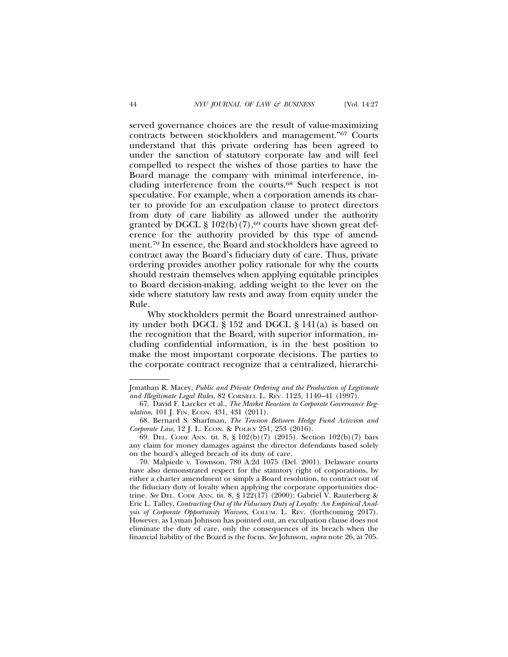served governance choices are the result of value-maximizing contracts between stockholders and management."67 Courts understand that this private ordering has been agreed to under the sanction of statutory corporate law and will feel compelled to respect the wishes of those parties to have the Board manage the company with minimal interference, including interference from the courts.68 Such respect is not speculative. For example, when a corporation amends its charter to provide for an exculpation clause to protect directors from duty of care liability as allowed under the authority granted by DGCL §  $102(b)(7)$ ,<sup>69</sup> courts have shown great deference for the authority provided by this type of amendment.70 In essence, the Board and stockholders have agreed to contract away the Board's fiduciary duty of care. Thus, private ordering provides another policy rationale for why the courts should restrain themselves when applying equitable principles to Board decision-making, adding weight to the lever on the side where statutory law rests and away from equity under the Rule.

Why stockholders permit the Board unrestrained authority under both DGCL § 152 and DGCL § 141(a) is based on the recognition that the Board, with superior information, including confidential information, is in the best position to make the most important corporate decisions. The parties to the corporate contract recognize that a centralized, hierarchi-

Jonathan R. Macey, *Public and Private Ordering and the Production of Legitimate and Illegitimate Legal Rules*, 82 CORNELL L. REV. 1123, 1140–41 (1997).

<sup>67.</sup> David F. Larcker et al., *The Market Reaction to Corporate Governance Regulation*, 101 J. FIN. ECON. 431, 431 (2011).

<sup>68.</sup> Bernard S. Sharfman, *The Tension Between Hedge Fund Activism and Corporate Law*, 12 J. L. ECON. & POLICY 251, 253 (2016).

<sup>69.</sup> DEL. CODE ANN. tit. 8, § 102(b)(7) (2015). Section 102(b)(7) bars any claim for money damages against the director defendants based solely on the board's alleged breach of its duty of care.

<sup>70.</sup> Malpiede v. Townson, 780 A.2d 1075 (Del. 2001). Delaware courts have also demonstrated respect for the statutory right of corporations, by either a charter amendment or simply a Board resolution, to contract out of the fiduciary duty of loyalty when applying the corporate opportunities doctrine. *See* DEL. CODE ANN. tit. 8, § 122(17) (2000); Gabriel V. Rauterberg & Eric L. Talley, *Contracting Out of the Fiduciary Duty of Loyalty: An Empirical Analysis of Corporate Opportunity Waivers*, COLUM. L. REV. (forthcoming 2017). However, as Lyman Johnson has pointed out, an exculpation clause does not eliminate the duty of care, only the consequences of its breach when the financial liability of the Board is the focus. *See* Johnson, *supra* note 26, at 705.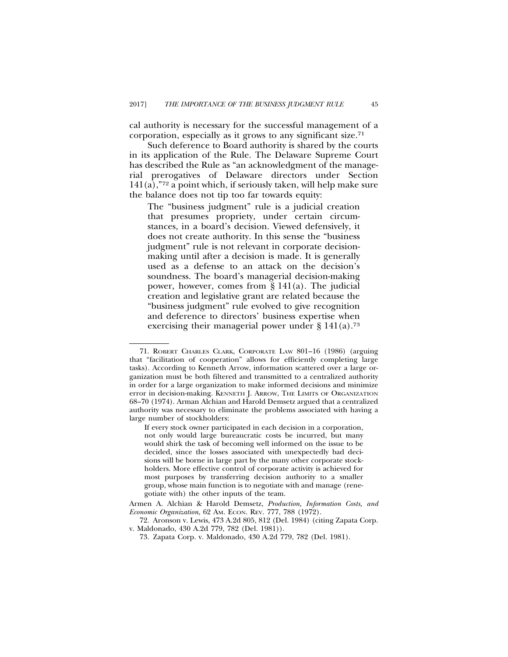cal authority is necessary for the successful management of a corporation, especially as it grows to any significant size.71

Such deference to Board authority is shared by the courts in its application of the Rule. The Delaware Supreme Court has described the Rule as "an acknowledgment of the managerial prerogatives of Delaware directors under Section 141(a),"72 a point which, if seriously taken, will help make sure the balance does not tip too far towards equity:

The "business judgment" rule is a judicial creation that presumes propriety, under certain circumstances, in a board's decision. Viewed defensively, it does not create authority. In this sense the "business judgment" rule is not relevant in corporate decisionmaking until after a decision is made. It is generally used as a defense to an attack on the decision's soundness. The board's managerial decision-making power, however, comes from § 141(a). The judicial creation and legislative grant are related because the "business judgment" rule evolved to give recognition and deference to directors' business expertise when exercising their managerial power under  $\S 141(a)$ .<sup>73</sup>

<sup>71.</sup> ROBERT CHARLES CLARK, CORPORATE LAW 801–16 (1986) (arguing that "facilitation of cooperation" allows for efficiently completing large tasks). According to Kenneth Arrow, information scattered over a large organization must be both filtered and transmitted to a centralized authority in order for a large organization to make informed decisions and minimize error in decision-making. KENNETH J. ARROW, THE LIMITS OF ORGANIZATION 68–70 (1974). Arman Alchian and Harold Demsetz argued that a centralized authority was necessary to eliminate the problems associated with having a large number of stockholders:

If every stock owner participated in each decision in a corporation, not only would large bureaucratic costs be incurred, but many would shirk the task of becoming well informed on the issue to be decided, since the losses associated with unexpectedly bad decisions will be borne in large part by the many other corporate stockholders. More effective control of corporate activity is achieved for most purposes by transferring decision authority to a smaller group, whose main function is to negotiate with and manage (renegotiate with) the other inputs of the team.

Armen A. Alchian & Harold Demsetz, *Production, Information Costs, and Economic Organization*, 62 AM. ECON. REV. 777, 788 (1972).

<sup>72.</sup> Aronson v. Lewis, 473 A.2d 805, 812 (Del. 1984) (citing Zapata Corp. v. Maldonado, 430 A.2d 779, 782 (Del. 1981)).

<sup>73.</sup> Zapata Corp. v. Maldonado, 430 A.2d 779, 782 (Del. 1981).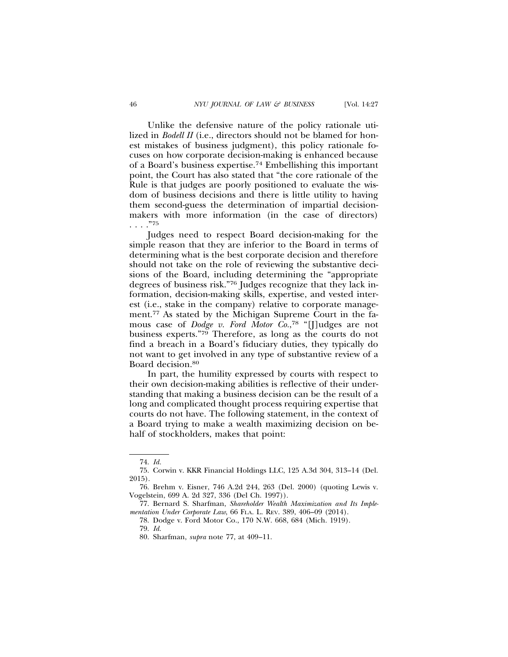Unlike the defensive nature of the policy rationale utilized in *Bodell II* (i.e., directors should not be blamed for honest mistakes of business judgment), this policy rationale focuses on how corporate decision-making is enhanced because of a Board's business expertise.74 Embellishing this important point, the Court has also stated that "the core rationale of the Rule is that judges are poorly positioned to evaluate the wisdom of business decisions and there is little utility to having them second-guess the determination of impartial decisionmakers with more information (in the case of directors) . . . ."75

Judges need to respect Board decision-making for the simple reason that they are inferior to the Board in terms of determining what is the best corporate decision and therefore should not take on the role of reviewing the substantive decisions of the Board, including determining the "appropriate degrees of business risk."76 Judges recognize that they lack information, decision-making skills, expertise, and vested interest (i.e., stake in the company) relative to corporate management.77 As stated by the Michigan Supreme Court in the famous case of *Dodge v. Ford Motor Co.*, 78 "[J]udges are not business experts."79 Therefore, as long as the courts do not find a breach in a Board's fiduciary duties, they typically do not want to get involved in any type of substantive review of a Board decision.80

In part, the humility expressed by courts with respect to their own decision-making abilities is reflective of their understanding that making a business decision can be the result of a long and complicated thought process requiring expertise that courts do not have. The following statement, in the context of a Board trying to make a wealth maximizing decision on behalf of stockholders, makes that point:

<sup>74.</sup> *Id.*

<sup>75.</sup> Corwin v. KKR Financial Holdings LLC, 125 A.3d 304, 313–14 (Del. 2015).

<sup>76.</sup> Brehm v. Eisner, 746 A.2d 244, 263 (Del. 2000) (quoting Lewis v. Vogelstein, 699 A. 2d 327, 336 (Del Ch. 1997)).

<sup>77.</sup> Bernard S. Sharfman, *Shareholder Wealth Maximization and Its Implementation Under Corporate Law*, 66 FLA. L. REV. 389, 406–09 (2014).

<sup>78.</sup> Dodge v. Ford Motor Co., 170 N.W. 668, 684 (Mich. 1919).

<sup>79.</sup> *Id.*

<sup>80.</sup> Sharfman, *supra* note 77, at 409–11.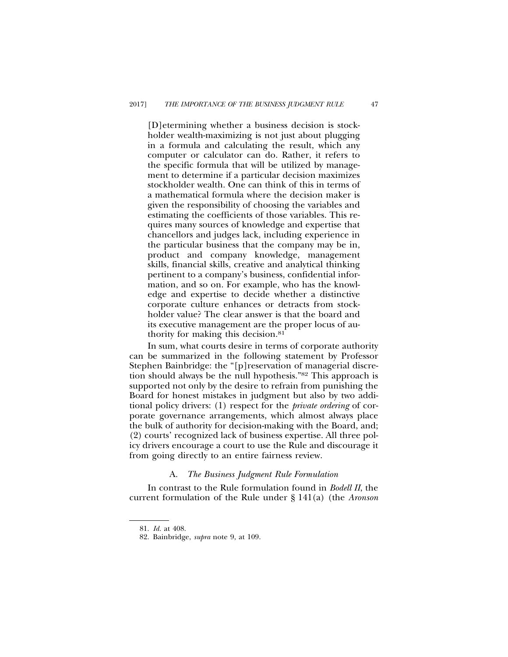[D]etermining whether a business decision is stockholder wealth-maximizing is not just about plugging in a formula and calculating the result, which any computer or calculator can do. Rather, it refers to the specific formula that will be utilized by management to determine if a particular decision maximizes stockholder wealth. One can think of this in terms of a mathematical formula where the decision maker is given the responsibility of choosing the variables and estimating the coefficients of those variables. This requires many sources of knowledge and expertise that chancellors and judges lack, including experience in the particular business that the company may be in, product and company knowledge, management skills, financial skills, creative and analytical thinking pertinent to a company's business, confidential information, and so on. For example, who has the knowledge and expertise to decide whether a distinctive corporate culture enhances or detracts from stockholder value? The clear answer is that the board and its executive management are the proper locus of authority for making this decision.81

In sum, what courts desire in terms of corporate authority can be summarized in the following statement by Professor Stephen Bainbridge: the "[p]reservation of managerial discretion should always be the null hypothesis."82 This approach is supported not only by the desire to refrain from punishing the Board for honest mistakes in judgment but also by two additional policy drivers: (1) respect for the *private ordering* of corporate governance arrangements, which almost always place the bulk of authority for decision-making with the Board, and; (2) courts' recognized lack of business expertise. All three policy drivers encourage a court to use the Rule and discourage it from going directly to an entire fairness review.

## A. *The Business Judgment Rule Formulation*

In contrast to the Rule formulation found in *Bodell II*, the current formulation of the Rule under § 141(a) (the *Aronson*

<sup>81.</sup> *Id.* at 408.

<sup>82.</sup> Bainbridge, *supra* note 9, at 109.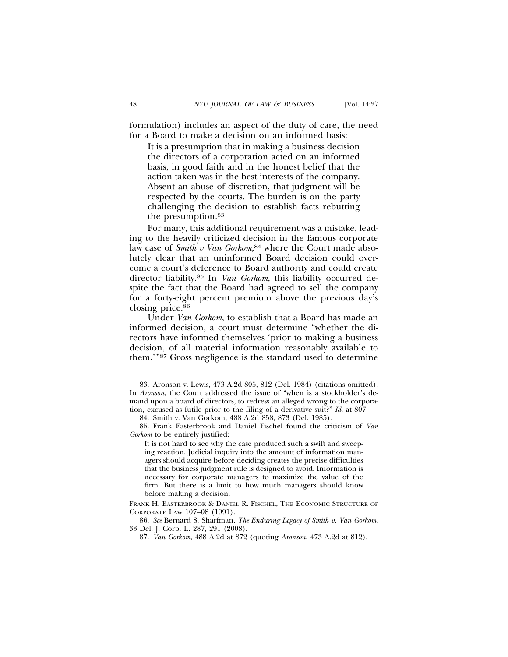formulation) includes an aspect of the duty of care, the need for a Board to make a decision on an informed basis:

It is a presumption that in making a business decision the directors of a corporation acted on an informed basis, in good faith and in the honest belief that the action taken was in the best interests of the company. Absent an abuse of discretion, that judgment will be respected by the courts. The burden is on the party challenging the decision to establish facts rebutting the presumption.83

For many, this additional requirement was a mistake, leading to the heavily criticized decision in the famous corporate law case of *Smith v Van Gorkom*, 84 where the Court made absolutely clear that an uninformed Board decision could overcome a court's deference to Board authority and could create director liability.85 In *Van Gorkom*, this liability occurred despite the fact that the Board had agreed to sell the company for a forty-eight percent premium above the previous day's closing price.86

Under *Van Gorkom*, to establish that a Board has made an informed decision, a court must determine "whether the directors have informed themselves 'prior to making a business decision, of all material information reasonably available to them.'"87 Gross negligence is the standard used to determine

<sup>83.</sup> Aronson v. Lewis, 473 A.2d 805, 812 (Del. 1984) (citations omitted). In *Aronson*, the Court addressed the issue of "when is a stockholder's demand upon a board of directors, to redress an alleged wrong to the corporation, excused as futile prior to the filing of a derivative suit?" *Id.* at 807.

<sup>84.</sup> Smith v. Van Gorkom, 488 A.2d 858, 873 (Del. 1985).

<sup>85.</sup> Frank Easterbrook and Daniel Fischel found the criticism of *Van Gorkom* to be entirely justified:

It is not hard to see why the case produced such a swift and sweeping reaction. Judicial inquiry into the amount of information managers should acquire before deciding creates the precise difficulties that the business judgment rule is designed to avoid. Information is necessary for corporate managers to maximize the value of the firm. But there is a limit to how much managers should know before making a decision.

FRANK H. EASTERBROOK & DANIEL R. FISCHEL, THE ECONOMIC STRUCTURE OF CORPORATE LAW 107–08 (1991).

<sup>86.</sup> *See* Bernard S. Sharfman, *The Enduring Legacy of Smith v. Van Gorkom*, 33 Del. J. Corp. L. 287, 291 (2008).

<sup>87.</sup> *Van Gorkom*, 488 A.2d at 872 (quoting *Aronson*, 473 A.2d at 812).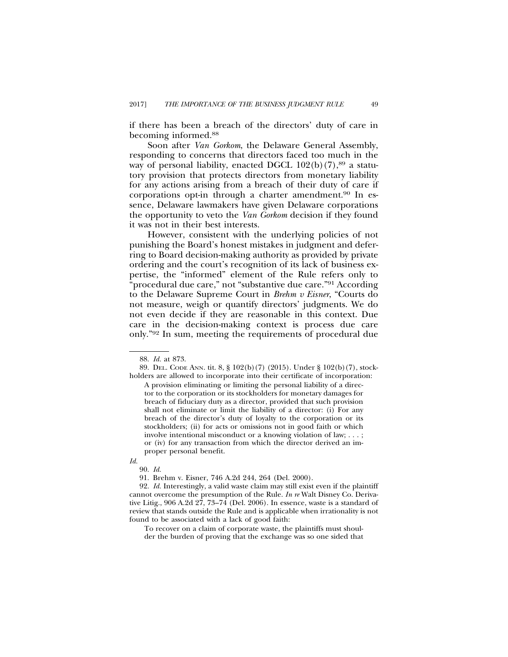if there has been a breach of the directors' duty of care in becoming informed.88

Soon after *Van Gorkom*, the Delaware General Assembly, responding to concerns that directors faced too much in the way of personal liability, enacted DGCL  $102(b)(7)$ ,<sup>89</sup> a statutory provision that protects directors from monetary liability for any actions arising from a breach of their duty of care if corporations opt-in through a charter amendment.90 In essence, Delaware lawmakers have given Delaware corporations the opportunity to veto the *Van Gorkom* decision if they found it was not in their best interests.

However, consistent with the underlying policies of not punishing the Board's honest mistakes in judgment and deferring to Board decision-making authority as provided by private ordering and the court's recognition of its lack of business expertise, the "informed" element of the Rule refers only to "procedural due care," not "substantive due care."91 According to the Delaware Supreme Court in *Brehm v Eisner*, "Courts do not measure, weigh or quantify directors' judgments. We do not even decide if they are reasonable in this context. Due care in the decision-making context is process due care only."92 In sum, meeting the requirements of procedural due

To recover on a claim of corporate waste, the plaintiffs must shoulder the burden of proving that the exchange was so one sided that

<sup>88.</sup> *Id.* at 873.

<sup>89.</sup> DEL. CODE ANN. tit. 8, § 102(b)(7) (2015). Under § 102(b)(7), stockholders are allowed to incorporate into their certificate of incorporation:

A provision eliminating or limiting the personal liability of a director to the corporation or its stockholders for monetary damages for breach of fiduciary duty as a director, provided that such provision shall not eliminate or limit the liability of a director: (i) For any breach of the director's duty of loyalty to the corporation or its stockholders; (ii) for acts or omissions not in good faith or which involve intentional misconduct or a knowing violation of law; . . . ; or (iv) for any transaction from which the director derived an improper personal benefit.

*Id.*

<sup>90.</sup> *Id.*

<sup>91.</sup> Brehm v. Eisner, 746 A.2d 244, 264 (Del. 2000).

<sup>92.</sup> *Id.* Interestingly, a valid waste claim may still exist even if the plaintiff cannot overcome the presumption of the Rule. *In re* Walt Disney Co. Derivative Litig., 906 A.2d 27, 73–74 (Del. 2006). In essence, waste is a standard of review that stands outside the Rule and is applicable when irrationality is not found to be associated with a lack of good faith: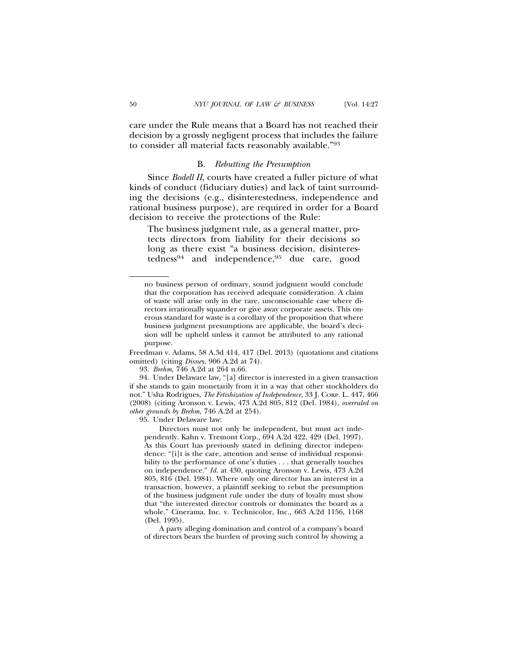care under the Rule means that a Board has not reached their decision by a grossly negligent process that includes the failure to consider all material facts reasonably available."93

## B. *Rebutting the Presumption*

Since *Bodell II*, courts have created a fuller picture of what kinds of conduct (fiduciary duties) and lack of taint surrounding the decisions (e.g., disinterestedness, independence and rational business purpose), are required in order for a Board decision to receive the protections of the Rule:

The business judgment rule, as a general matter, protects directors from liability for their decisions so long as there exist "a business decision, disinterestedness94 and independence,95 due care, good

Freedman v. Adams, 58 A.3d 414, 417 (Del. 2013) (quotations and citations omitted) (citing *Disney*, 906 A.2d at 74).

93. *Brehm*, 746 A.2d at 264 n.66.

94. Under Delaware law, "[a] director is interested in a given transaction if she stands to gain monetarily from it in a way that other stockholders do not." Usha Rodrigues, *The Fetishization of Independence*, 33 J. CORP. L. 447, 466 (2008) (citing Aronson v. Lewis, 473 A.2d 805, 812 (Del. 1984), *overruled on other grounds by Brehm*, 746 A.2d at 254).

95. Under Delaware law:

Directors must not only be independent, but must act independently. Kahn v. Tremont Corp., 694 A.2d 422, 429 (Del. 1997). As this Court has previously stated in defining director independence: "[i]t is the care, attention and sense of individual responsibility to the performance of one's duties . . . that generally touches on independence." *Id.* at 430, quoting Aronson v. Lewis, 473 A.2d 805, 816 (Del. 1984). Where only one director has an interest in a transaction, however, a plaintiff seeking to rebut the presumption of the business judgment rule under the duty of loyalty must show that "the interested director controls or dominates the board as a whole." Cinerama, Inc. v. Technicolor, Inc., 663 A.2d 1156, 1168 (Del. 1995).

A party alleging domination and control of a company's board of directors bears the burden of proving such control by showing a

no business person of ordinary, sound judgment would conclude that the corporation has received adequate consideration. A claim of waste will arise only in the rare, unconscionable case where directors irrationally squander or give away corporate assets. This onerous standard for waste is a corollary of the proposition that where business judgment presumptions are applicable, the board's decision will be upheld unless it cannot be attributed to any rational purpose.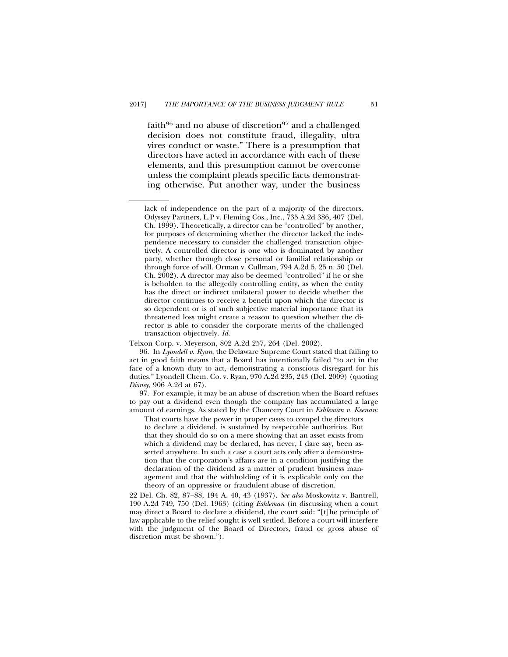faith $96$  and no abuse of discretion $97$  and a challenged decision does not constitute fraud, illegality, ultra vires conduct or waste." There is a presumption that directors have acted in accordance with each of these elements, and this presumption cannot be overcome unless the complaint pleads specific facts demonstrating otherwise. Put another way, under the business

lack of independence on the part of a majority of the directors. Odyssey Partners, L.P v. Fleming Cos., Inc., 735 A.2d 386, 407 (Del. Ch. 1999). Theoretically, a director can be "controlled" by another, for purposes of determining whether the director lacked the independence necessary to consider the challenged transaction objectively. A controlled director is one who is dominated by another party, whether through close personal or familial relationship or through force of will. Orman v. Cullman, 794 A.2d 5, 25 n. 50 (Del. Ch. 2002). A director may also be deemed "controlled" if he or she is beholden to the allegedly controlling entity, as when the entity has the direct or indirect unilateral power to decide whether the director continues to receive a benefit upon which the director is so dependent or is of such subjective material importance that its threatened loss might create a reason to question whether the director is able to consider the corporate merits of the challenged transaction objectively. *Id.*

Telxon Corp. v. Meyerson, 802 A.2d 257, 264 (Del. 2002).

<sup>96.</sup> In *Lyondell v. Ryan*, the Delaware Supreme Court stated that failing to act in good faith means that a Board has intentionally failed "to act in the face of a known duty to act, demonstrating a conscious disregard for his duties." Lyondell Chem. Co. v. Ryan, 970 A.2d 235, 243 (Del. 2009) (quoting *Disney*, 906 A.2d at 67).

<sup>97.</sup> For example, it may be an abuse of discretion when the Board refuses to pay out a dividend even though the company has accumulated a large amount of earnings. As stated by the Chancery Court in *Eshleman v. Keenan*:

That courts have the power in proper cases to compel the directors to declare a dividend, is sustained by respectable authorities. But that they should do so on a mere showing that an asset exists from which a dividend may be declared, has never, I dare say, been asserted anywhere. In such a case a court acts only after a demonstration that the corporation's affairs are in a condition justifying the declaration of the dividend as a matter of prudent business management and that the withholding of it is explicable only on the theory of an oppressive or fraudulent abuse of discretion.

<sup>22</sup> Del. Ch. 82, 87–88, 194 A. 40, 43 (1937). *See also* Moskowitz v. Bantrell, 190 A.2d 749, 750 (Del. 1963) (citing *Eshleman* (in discussing when a court may direct a Board to declare a dividend, the court said: "[t]he principle of law applicable to the relief sought is well settled. Before a court will interfere with the judgment of the Board of Directors, fraud or gross abuse of discretion must be shown.").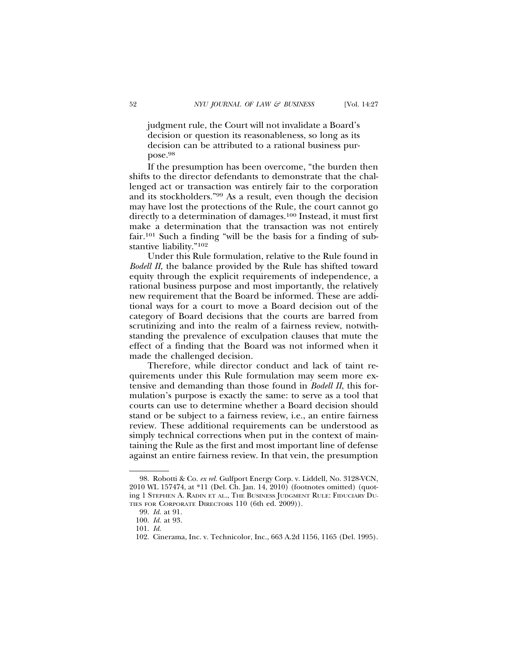judgment rule, the Court will not invalidate a Board's decision or question its reasonableness, so long as its decision can be attributed to a rational business purpose.98

If the presumption has been overcome, "the burden then shifts to the director defendants to demonstrate that the challenged act or transaction was entirely fair to the corporation and its stockholders."99 As a result, even though the decision may have lost the protections of the Rule, the court cannot go directly to a determination of damages.100 Instead, it must first make a determination that the transaction was not entirely fair.101 Such a finding "will be the basis for a finding of substantive liability."102

Under this Rule formulation, relative to the Rule found in *Bodell II*, the balance provided by the Rule has shifted toward equity through the explicit requirements of independence, a rational business purpose and most importantly, the relatively new requirement that the Board be informed. These are additional ways for a court to move a Board decision out of the category of Board decisions that the courts are barred from scrutinizing and into the realm of a fairness review, notwithstanding the prevalence of exculpation clauses that mute the effect of a finding that the Board was not informed when it made the challenged decision.

Therefore, while director conduct and lack of taint requirements under this Rule formulation may seem more extensive and demanding than those found in *Bodell II*, this formulation's purpose is exactly the same: to serve as a tool that courts can use to determine whether a Board decision should stand or be subject to a fairness review, i.e., an entire fairness review. These additional requirements can be understood as simply technical corrections when put in the context of maintaining the Rule as the first and most important line of defense against an entire fairness review. In that vein, the presumption

<sup>98.</sup> Robotti & Co. *ex rel.* Gulfport Energy Corp. v. Liddell, No. 3128-VCN, 2010 WL 157474, at \*11 (Del. Ch. Jan. 14, 2010) (footnotes omitted) (quoting 1 STEPHEN A. RADIN ET AL., THE BUSINESS JUDGMENT RULE: FIDUCIARY DU-TIES FOR CORPORATE DIRECTORS 110 (6th ed. 2009)).

<sup>99.</sup> *Id.* at 91.

<sup>100.</sup> *Id.* at 93.

<sup>101.</sup> *Id.*

<sup>102.</sup> Cinerama, Inc. v. Technicolor, Inc., 663 A.2d 1156, 1165 (Del. 1995).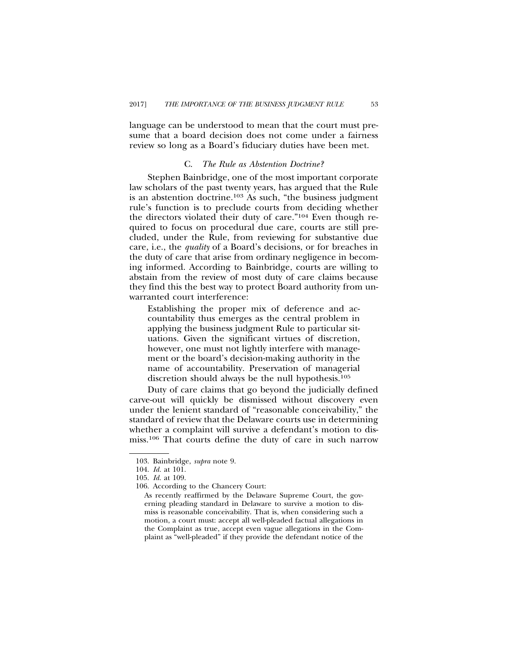language can be understood to mean that the court must presume that a board decision does not come under a fairness review so long as a Board's fiduciary duties have been met.

## C. *The Rule as Abstention Doctrine?*

Stephen Bainbridge, one of the most important corporate law scholars of the past twenty years, has argued that the Rule is an abstention doctrine.103 As such, "the business judgment rule's function is to preclude courts from deciding whether the directors violated their duty of care."104 Even though required to focus on procedural due care, courts are still precluded, under the Rule, from reviewing for substantive due care, i.e., the *quality* of a Board's decisions, or for breaches in the duty of care that arise from ordinary negligence in becoming informed. According to Bainbridge, courts are willing to abstain from the review of most duty of care claims because they find this the best way to protect Board authority from unwarranted court interference:

Establishing the proper mix of deference and accountability thus emerges as the central problem in applying the business judgment Rule to particular situations. Given the significant virtues of discretion, however, one must not lightly interfere with management or the board's decision-making authority in the name of accountability. Preservation of managerial discretion should always be the null hypothesis.105

Duty of care claims that go beyond the judicially defined carve-out will quickly be dismissed without discovery even under the lenient standard of "reasonable conceivability," the standard of review that the Delaware courts use in determining whether a complaint will survive a defendant's motion to dismiss.106 That courts define the duty of care in such narrow

<sup>103.</sup> Bainbridge, *supra* note 9.

<sup>104.</sup> *Id.* at 101.

<sup>105.</sup> *Id.* at 109.

<sup>106.</sup> According to the Chancery Court:

As recently reaffirmed by the Delaware Supreme Court, the governing pleading standard in Delaware to survive a motion to dismiss is reasonable conceivability. That is, when considering such a motion, a court must: accept all well-pleaded factual allegations in the Complaint as true, accept even vague allegations in the Complaint as "well-pleaded" if they provide the defendant notice of the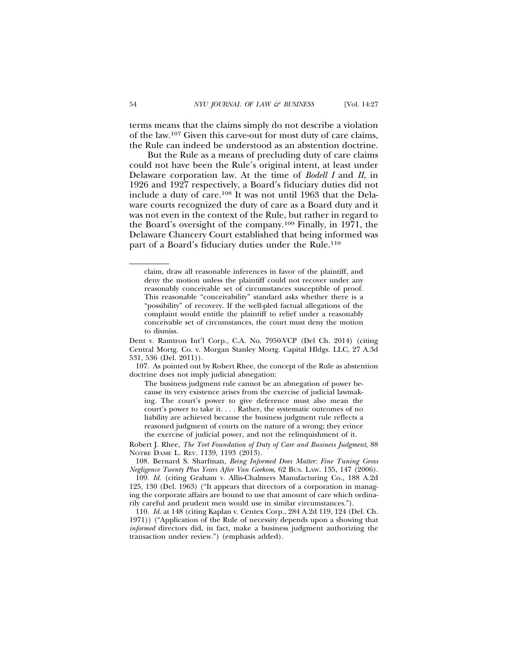terms means that the claims simply do not describe a violation of the law.107 Given this carve-out for most duty of care claims, the Rule can indeed be understood as an abstention doctrine.

But the Rule as a means of precluding duty of care claims could not have been the Rule's original intent, at least under Delaware corporation law. At the time of *Bodell I* and *II*, in 1926 and 1927 respectively, a Board's fiduciary duties did not include a duty of care.108 It was not until 1963 that the Delaware courts recognized the duty of care as a Board duty and it was not even in the context of the Rule, but rather in regard to the Board's oversight of the company.109 Finally, in 1971, the Delaware Chancery Court established that being informed was part of a Board's fiduciary duties under the Rule.<sup>110</sup>

claim, draw all reasonable inferences in favor of the plaintiff, and deny the motion unless the plaintiff could not recover under any reasonably conceivable set of circumstances susceptible of proof. This reasonable "conceivability" standard asks whether there is a "possibility" of recovery. If the well-pled factual allegations of the complaint would entitle the plaintiff to relief under a reasonably conceivable set of circumstances, the court must deny the motion to dismiss.

Dent v. Ramtron Int'l Corp., C.A. No. 7950-VCP (Del Ch. 2014) (citing Central Mortg. Co. v. Morgan Stanley Mortg. Capital Hldgs. LLC, 27 A.3d 531, 536 (Del. 2011)).

<sup>107.</sup> As pointed out by Robert Rhee, the concept of the Rule as abstention doctrine does not imply judicial abnegation:

The business judgment rule cannot be an abnegation of power because its very existence arises from the exercise of judicial lawmaking. The court's power to give deference must also mean the court's power to take it. . . . Rather, the systematic outcomes of no liability are achieved because the business judgment rule reflects a reasoned judgment of courts on the nature of a wrong; they evince the exercise of judicial power, and not the relinquishment of it.

Robert J. Rhee, *The Tort Foundation of Duty of Care and Business Judgment*, 88 NOTRE DAME L. REV. 1139, 1193 (2013).

<sup>108.</sup> Bernard S. Sharfman, *Being Informed Does Matter: Fine Tuning Gross Negligence Twenty Plus Years After Van Gorkom*, 62 BUS. LAW. 135, 147 (2006).

<sup>109.</sup> *Id.* (citing Graham v. Allis-Chalmers Manufacturing Co., 188 A.2d 125, 130 (Del. 1963) ("It appears that directors of a corporation in managing the corporate affairs are bound to use that amount of care which ordinarily careful and prudent men would use in similar circumstances.").

<sup>110.</sup> *Id.* at 148 (citing Kaplan v. Centex Corp., 284 A.2d 119, 124 (Del. Ch. 1971)) ("Application of the Rule of necessity depends upon a showing that *informed* directors did, in fact, make a business judgment authorizing the transaction under review.") (emphasis added).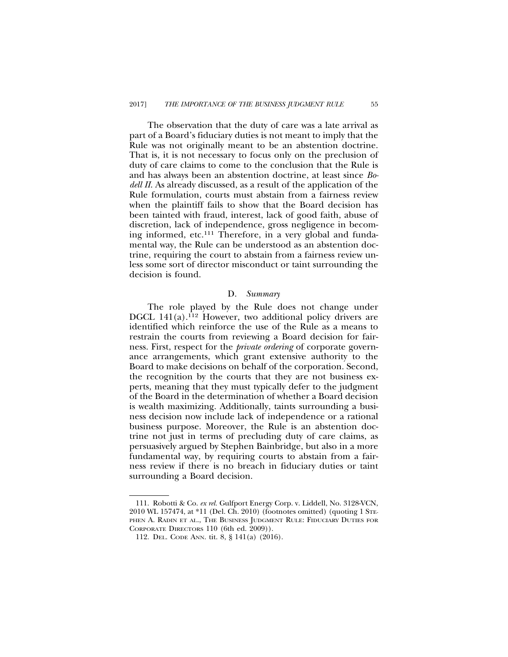The observation that the duty of care was a late arrival as part of a Board's fiduciary duties is not meant to imply that the Rule was not originally meant to be an abstention doctrine. That is, it is not necessary to focus only on the preclusion of duty of care claims to come to the conclusion that the Rule is and has always been an abstention doctrine, at least since *Bodell II*. As already discussed, as a result of the application of the Rule formulation, courts must abstain from a fairness review when the plaintiff fails to show that the Board decision has been tainted with fraud, interest, lack of good faith, abuse of discretion, lack of independence, gross negligence in becoming informed, etc.111 Therefore, in a very global and fundamental way, the Rule can be understood as an abstention doctrine, requiring the court to abstain from a fairness review unless some sort of director misconduct or taint surrounding the decision is found.

### D. *Summary*

The role played by the Rule does not change under DGCL 141(a).<sup>112</sup> However, two additional policy drivers are identified which reinforce the use of the Rule as a means to restrain the courts from reviewing a Board decision for fairness. First, respect for the *private ordering* of corporate governance arrangements, which grant extensive authority to the Board to make decisions on behalf of the corporation. Second, the recognition by the courts that they are not business experts, meaning that they must typically defer to the judgment of the Board in the determination of whether a Board decision is wealth maximizing. Additionally, taints surrounding a business decision now include lack of independence or a rational business purpose. Moreover, the Rule is an abstention doctrine not just in terms of precluding duty of care claims, as persuasively argued by Stephen Bainbridge, but also in a more fundamental way, by requiring courts to abstain from a fairness review if there is no breach in fiduciary duties or taint surrounding a Board decision.

<sup>111.</sup> Robotti & Co. *ex rel.* Gulfport Energy Corp. v. Liddell, No. 3128-VCN, 2010 WL 157474, at \*11 (Del. Ch. 2010) (footnotes omitted) (quoting 1 STE-PHEN A. RADIN ET AL., THE BUSINESS JUDGMENT RULE: FIDUCIARY DUTIES FOR CORPORATE DIRECTORS 110 (6th ed. 2009)).

<sup>112.</sup> DEL. CODE ANN. tit. 8, § 141(a) (2016).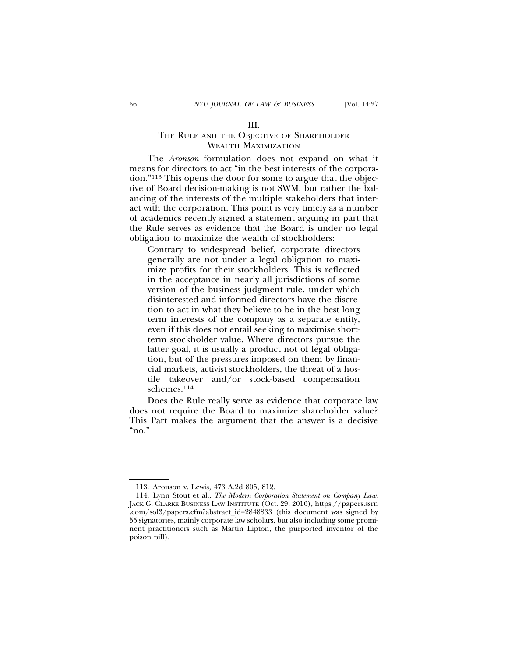## III.

# THE RULE AND THE OBJECTIVE OF SHAREHOLDER WEALTH MAXIMIZATION

The *Aronson* formulation does not expand on what it means for directors to act "in the best interests of the corporation."113 This opens the door for some to argue that the objective of Board decision-making is not SWM, but rather the balancing of the interests of the multiple stakeholders that interact with the corporation. This point is very timely as a number of academics recently signed a statement arguing in part that the Rule serves as evidence that the Board is under no legal obligation to maximize the wealth of stockholders:

Contrary to widespread belief, corporate directors generally are not under a legal obligation to maximize profits for their stockholders. This is reflected in the acceptance in nearly all jurisdictions of some version of the business judgment rule, under which disinterested and informed directors have the discretion to act in what they believe to be in the best long term interests of the company as a separate entity, even if this does not entail seeking to maximise shortterm stockholder value. Where directors pursue the latter goal, it is usually a product not of legal obligation, but of the pressures imposed on them by financial markets, activist stockholders, the threat of a hostile takeover and/or stock-based compensation schemes.114

Does the Rule really serve as evidence that corporate law does not require the Board to maximize shareholder value? This Part makes the argument that the answer is a decisive "no."

<sup>113.</sup> Aronson v. Lewis, 473 A.2d 805, 812.

<sup>114.</sup> Lynn Stout et al., *The Modern Corporation Statement on Company Law*, JACK G. CLARKE BUSINESS LAW INSTITUTE (Oct. 29, 2016), https://papers.ssrn .com/sol3/papers.cfm?abstract\_id=2848833 (this document was signed by 55 signatories, mainly corporate law scholars, but also including some prominent practitioners such as Martin Lipton, the purported inventor of the poison pill).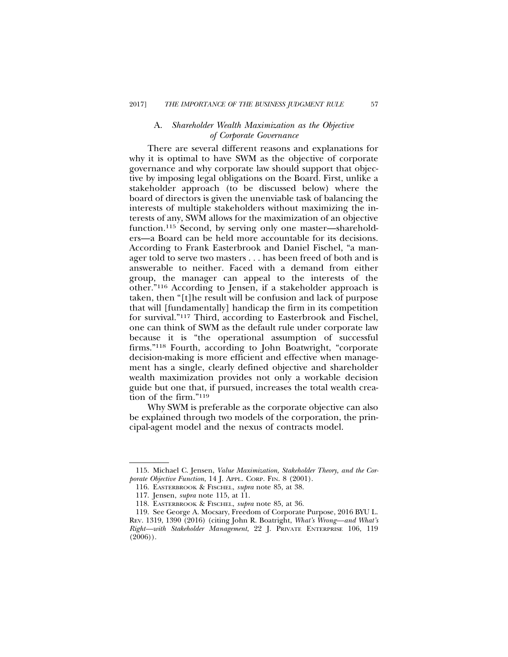## A. *Shareholder Wealth Maximization as the Objective of Corporate Governance*

There are several different reasons and explanations for why it is optimal to have SWM as the objective of corporate governance and why corporate law should support that objective by imposing legal obligations on the Board. First, unlike a stakeholder approach (to be discussed below) where the board of directors is given the unenviable task of balancing the interests of multiple stakeholders without maximizing the interests of any, SWM allows for the maximization of an objective function.115 Second, by serving only one master—shareholders—a Board can be held more accountable for its decisions. According to Frank Easterbrook and Daniel Fischel, "a manager told to serve two masters . . . has been freed of both and is answerable to neither. Faced with a demand from either group, the manager can appeal to the interests of the other."116 According to Jensen, if a stakeholder approach is taken, then "[t]he result will be confusion and lack of purpose that will [fundamentally] handicap the firm in its competition for survival."117 Third, according to Easterbrook and Fischel, one can think of SWM as the default rule under corporate law because it is "the operational assumption of successful firms."118 Fourth, according to John Boatwright, "corporate decision-making is more efficient and effective when management has a single, clearly defined objective and shareholder wealth maximization provides not only a workable decision guide but one that, if pursued, increases the total wealth creation of the firm."119

Why SWM is preferable as the corporate objective can also be explained through two models of the corporation, the principal-agent model and the nexus of contracts model.

<sup>115.</sup> Michael C. Jensen, *Value Maximization, Stakeholder Theory, and the Corporate Objective Function*, 14 J. APPL. CORP. FIN. 8 (2001).

<sup>116.</sup> EASTERBROOK & FISCHEL, *supra* note 85, at 38.

<sup>117.</sup> Jensen, *supra* note 115, at 11.

<sup>118.</sup> EASTERBROOK & FISCHEL, *supra* note 85, at 36.

<sup>119.</sup> See George A. Mocsary, Freedom of Corporate Purpose, 2016 BYU L. REV. 1319, 1390 (2016) (citing John R. Boatright, *What's Wrong—and What's Right—with Stakeholder Management*, 22 J. PRIVATE ENTERPRISE 106, 119  $(2006)$ .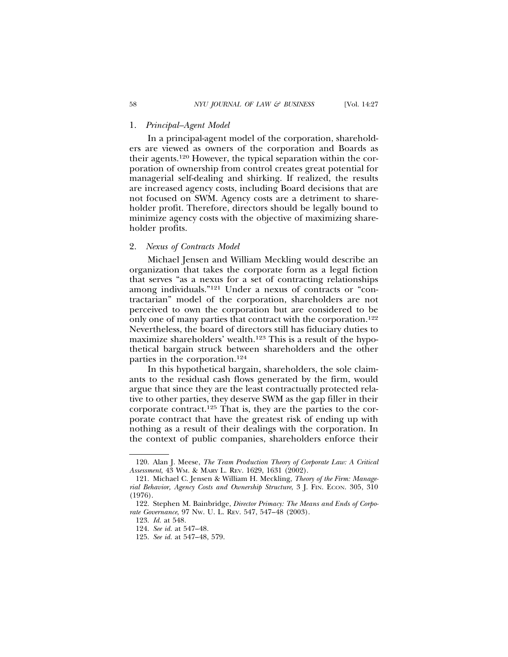## 1. *Principal–Agent Model*

In a principal-agent model of the corporation, shareholders are viewed as owners of the corporation and Boards as their agents.120 However, the typical separation within the corporation of ownership from control creates great potential for managerial self-dealing and shirking. If realized, the results are increased agency costs, including Board decisions that are not focused on SWM. Agency costs are a detriment to shareholder profit. Therefore, directors should be legally bound to minimize agency costs with the objective of maximizing shareholder profits.

## 2. *Nexus of Contracts Model*

Michael Jensen and William Meckling would describe an organization that takes the corporate form as a legal fiction that serves "as a nexus for a set of contracting relationships among individuals."121 Under a nexus of contracts or "contractarian" model of the corporation, shareholders are not perceived to own the corporation but are considered to be only one of many parties that contract with the corporation.122 Nevertheless, the board of directors still has fiduciary duties to maximize shareholders' wealth.<sup>123</sup> This is a result of the hypothetical bargain struck between shareholders and the other parties in the corporation.124

In this hypothetical bargain, shareholders, the sole claimants to the residual cash flows generated by the firm, would argue that since they are the least contractually protected relative to other parties, they deserve SWM as the gap filler in their corporate contract.125 That is, they are the parties to the corporate contract that have the greatest risk of ending up with nothing as a result of their dealings with the corporation. In the context of public companies, shareholders enforce their

<sup>120.</sup> Alan J. Meese, *The Team Production Theory of Corporate Law: A Critical Assessment*, 43 WM. & MARY L. REV. 1629, 1631 (2002).

<sup>121.</sup> Michael C. Jensen & William H. Meckling, *Theory of the Firm: Managerial Behavior, Agency Costs and Ownership Structure*, 3 J. FIN. ECON. 305, 310 (1976).

<sup>122.</sup> Stephen M. Bainbridge, *Director Primacy: The Means and Ends of Corporate Governance*, 97 NW. U. L. REV. 547, 547–48 (2003).

<sup>123.</sup> *Id.* at 548*.*

<sup>124.</sup> *See id.* at 547–48.

<sup>125.</sup> *See id.* at 547–48, 579.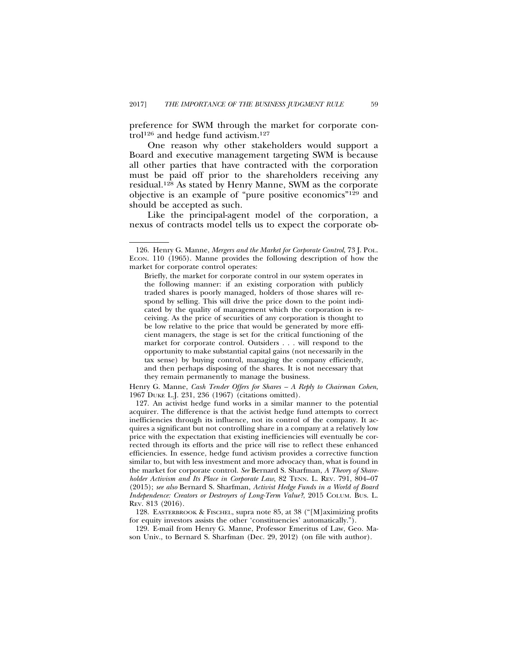preference for SWM through the market for corporate control<sup>126</sup> and hedge fund activism.<sup>127</sup>

One reason why other stakeholders would support a Board and executive management targeting SWM is because all other parties that have contracted with the corporation must be paid off prior to the shareholders receiving any residual.128 As stated by Henry Manne, SWM as the corporate objective is an example of "pure positive economics"129 and should be accepted as such.

Like the principal-agent model of the corporation, a nexus of contracts model tells us to expect the corporate ob-

Henry G. Manne, *Cash Tender Offers for Shares – A Reply to Chairman Cohen*, 1967 DUKE L.J. 231, 236 (1967) (citations omitted).

127. An activist hedge fund works in a similar manner to the potential acquirer. The difference is that the activist hedge fund attempts to correct inefficiencies through its influence, not its control of the company. It acquires a significant but not controlling share in a company at a relatively low price with the expectation that existing inefficiencies will eventually be corrected through its efforts and the price will rise to reflect these enhanced efficiencies. In essence, hedge fund activism provides a corrective function similar to, but with less investment and more advocacy than, what is found in the market for corporate control. *See* Bernard S. Sharfman, *A Theory of Shareholder Activism and Its Place in Corporate Law*, 82 TENN. L. REV. 791, 804–07 (2015); *see also* Bernard S. Sharfman, *Activist Hedge Funds in a World of Board Independence: Creators or Destroyers of Long-Term Value?*, 2015 COLUM. BUS. L. REV. 813 (2016).

128. EASTERBROOK & FISCHEL, supra note 85, at 38 ("[M]aximizing profits for equity investors assists the other 'constituencies' automatically.").

129. E-mail from Henry G. Manne, Professor Emeritus of Law, Geo. Mason Univ., to Bernard S. Sharfman (Dec. 29, 2012) (on file with author).

<sup>126.</sup> Henry G. Manne, *Mergers and the Market for Corporate Control*, 73 J. POL. ECON. 110 (1965). Manne provides the following description of how the market for corporate control operates:

Briefly, the market for corporate control in our system operates in the following manner: if an existing corporation with publicly traded shares is poorly managed, holders of those shares will respond by selling. This will drive the price down to the point indicated by the quality of management which the corporation is receiving. As the price of securities of any corporation is thought to be low relative to the price that would be generated by more efficient managers, the stage is set for the critical functioning of the market for corporate control. Outsiders . . . will respond to the opportunity to make substantial capital gains (not necessarily in the tax sense) by buying control, managing the company efficiently, and then perhaps disposing of the shares. It is not necessary that they remain permanently to manage the business.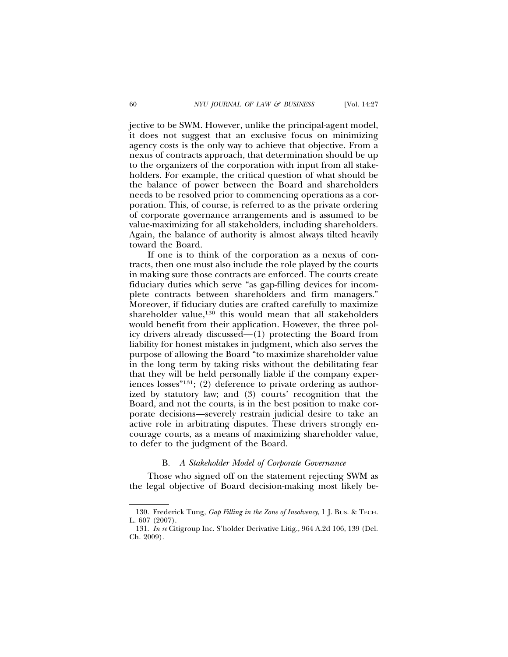jective to be SWM. However, unlike the principal-agent model, it does not suggest that an exclusive focus on minimizing agency costs is the only way to achieve that objective. From a nexus of contracts approach, that determination should be up to the organizers of the corporation with input from all stakeholders. For example, the critical question of what should be the balance of power between the Board and shareholders needs to be resolved prior to commencing operations as a corporation. This, of course, is referred to as the private ordering of corporate governance arrangements and is assumed to be value-maximizing for all stakeholders, including shareholders. Again, the balance of authority is almost always tilted heavily toward the Board.

If one is to think of the corporation as a nexus of contracts, then one must also include the role played by the courts in making sure those contracts are enforced. The courts create fiduciary duties which serve "as gap-filling devices for incomplete contracts between shareholders and firm managers." Moreover, if fiduciary duties are crafted carefully to maximize shareholder value,<sup>130</sup> this would mean that all stakeholders would benefit from their application. However, the three policy drivers already discussed—(1) protecting the Board from liability for honest mistakes in judgment, which also serves the purpose of allowing the Board "to maximize shareholder value in the long term by taking risks without the debilitating fear that they will be held personally liable if the company experiences losses"131; (2) deference to private ordering as authorized by statutory law; and (3) courts' recognition that the Board, and not the courts, is in the best position to make corporate decisions—severely restrain judicial desire to take an active role in arbitrating disputes. These drivers strongly encourage courts, as a means of maximizing shareholder value, to defer to the judgment of the Board.

#### B. *A Stakeholder Model of Corporate Governance*

Those who signed off on the statement rejecting SWM as the legal objective of Board decision-making most likely be-

<sup>130.</sup> Frederick Tung, *Gap Filling in the Zone of Insolvency*, 1 J. BUS. & TECH. L. 607 (2007).

<sup>131.</sup> *In re* Citigroup Inc. S'holder Derivative Litig., 964 A.2d 106, 139 (Del. Ch. 2009).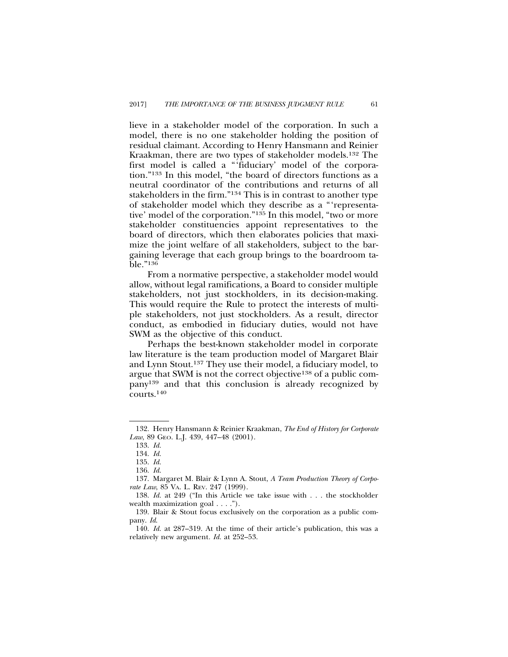lieve in a stakeholder model of the corporation. In such a model, there is no one stakeholder holding the position of residual claimant. According to Henry Hansmann and Reinier Kraakman, there are two types of stakeholder models.132 The first model is called a "'fiduciary' model of the corporation."133 In this model, "the board of directors functions as a neutral coordinator of the contributions and returns of all stakeholders in the firm."134 This is in contrast to another type of stakeholder model which they describe as a "'representative' model of the corporation."135 In this model, "two or more stakeholder constituencies appoint representatives to the board of directors, which then elaborates policies that maximize the joint welfare of all stakeholders, subject to the bargaining leverage that each group brings to the boardroom table."136

From a normative perspective, a stakeholder model would allow, without legal ramifications, a Board to consider multiple stakeholders, not just stockholders, in its decision-making. This would require the Rule to protect the interests of multiple stakeholders, not just stockholders. As a result, director conduct, as embodied in fiduciary duties, would not have SWM as the objective of this conduct.

Perhaps the best-known stakeholder model in corporate law literature is the team production model of Margaret Blair and Lynn Stout.137 They use their model, a fiduciary model, to argue that SWM is not the correct objective138 of a public company139 and that this conclusion is already recognized by courts.140

<sup>132.</sup> Henry Hansmann & Reinier Kraakman, *The End of History for Corporate Law*, 89 GEO. L.J. 439, 447–48 (2001).

<sup>133.</sup> *Id.*

<sup>134.</sup> *Id.*

<sup>135.</sup> *Id.*

<sup>136.</sup> *Id*.

<sup>137.</sup> Margaret M. Blair & Lynn A. Stout, *A Team Production Theory of Corporate Law*, 85 VA. L. REV. 247 (1999).

<sup>138.</sup> *Id.* at 249 ("In this Article we take issue with . . . the stockholder wealth maximization goal . . . .").

<sup>139.</sup> Blair & Stout focus exclusively on the corporation as a public company. *Id*.

<sup>140.</sup> *Id.* at 287–319. At the time of their article's publication, this was a relatively new argument*. Id.* at 252–53.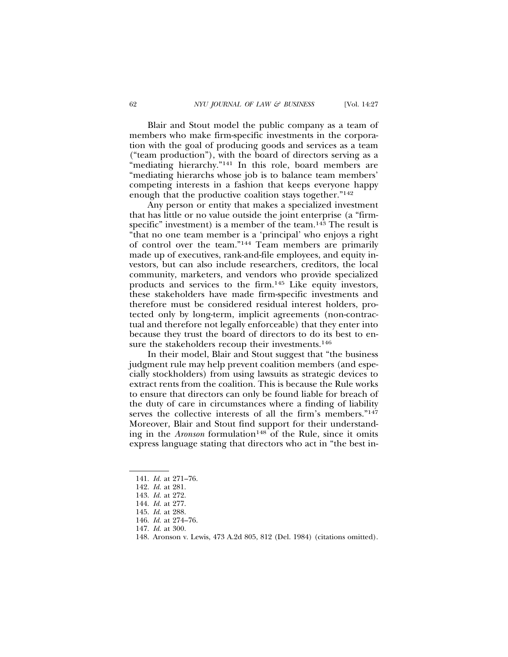Blair and Stout model the public company as a team of members who make firm-specific investments in the corporation with the goal of producing goods and services as a team ("team production"), with the board of directors serving as a "mediating hierarchy."<sup>141</sup> In this role, board members are "mediating hierarchs whose job is to balance team members' competing interests in a fashion that keeps everyone happy enough that the productive coalition stays together."142

Any person or entity that makes a specialized investment that has little or no value outside the joint enterprise (a "firmspecific" investment) is a member of the team.<sup>143</sup> The result is "that no one team member is a 'principal' who enjoys a right of control over the team."144 Team members are primarily made up of executives, rank-and-file employees, and equity investors, but can also include researchers, creditors, the local community, marketers, and vendors who provide specialized products and services to the firm.145 Like equity investors, these stakeholders have made firm-specific investments and therefore must be considered residual interest holders, protected only by long-term, implicit agreements (non-contractual and therefore not legally enforceable) that they enter into because they trust the board of directors to do its best to ensure the stakeholders recoup their investments.<sup>146</sup>

In their model, Blair and Stout suggest that "the business judgment rule may help prevent coalition members (and especially stockholders) from using lawsuits as strategic devices to extract rents from the coalition. This is because the Rule works to ensure that directors can only be found liable for breach of the duty of care in circumstances where a finding of liability serves the collective interests of all the firm's members."147 Moreover, Blair and Stout find support for their understanding in the *Aronson* formulation<sup>148</sup> of the Rule, since it omits express language stating that directors who act in "the best in-

<sup>141.</sup> *Id.* at 271–76.

<sup>142.</sup> *Id.* at 281.

<sup>143.</sup> *Id.* at 272.

<sup>144.</sup> *Id.* at 277.

<sup>145.</sup> *Id.* at 288.

<sup>146.</sup> *Id.* at 274–76.

<sup>147.</sup> *Id.* at 300.

<sup>148.</sup> Aronson v. Lewis, 473 A.2d 805, 812 (Del. 1984) (citations omitted).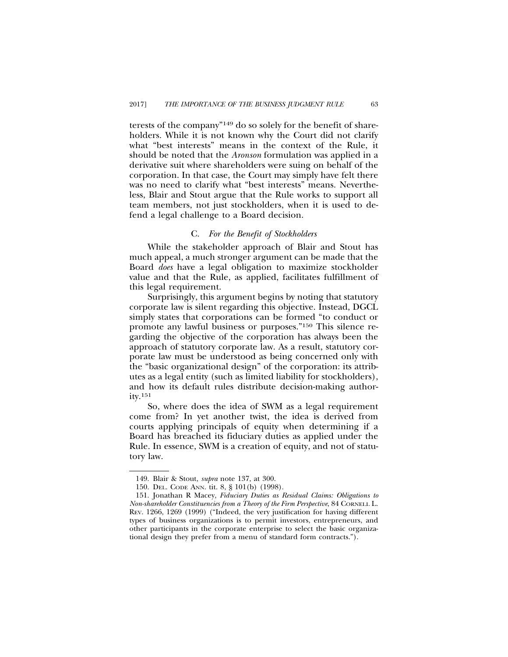terests of the company"149 do so solely for the benefit of shareholders. While it is not known why the Court did not clarify what "best interests" means in the context of the Rule, it should be noted that the *Aronson* formulation was applied in a derivative suit where shareholders were suing on behalf of the corporation. In that case, the Court may simply have felt there was no need to clarify what "best interests" means. Nevertheless, Blair and Stout argue that the Rule works to support all team members, not just stockholders, when it is used to defend a legal challenge to a Board decision.

#### C. *For the Benefit of Stockholders*

While the stakeholder approach of Blair and Stout has much appeal, a much stronger argument can be made that the Board *does* have a legal obligation to maximize stockholder value and that the Rule, as applied, facilitates fulfillment of this legal requirement.

Surprisingly, this argument begins by noting that statutory corporate law is silent regarding this objective. Instead, DGCL simply states that corporations can be formed "to conduct or promote any lawful business or purposes."150 This silence regarding the objective of the corporation has always been the approach of statutory corporate law. As a result, statutory corporate law must be understood as being concerned only with the "basic organizational design" of the corporation: its attributes as a legal entity (such as limited liability for stockholders), and how its default rules distribute decision-making authority.151

So, where does the idea of SWM as a legal requirement come from? In yet another twist, the idea is derived from courts applying principals of equity when determining if a Board has breached its fiduciary duties as applied under the Rule. In essence, SWM is a creation of equity, and not of statutory law.

<sup>149.</sup> Blair & Stout, *supra* note 137, at 300.

<sup>150.</sup> DEL. CODE ANN. tit. 8, § 101(b) (1998).

<sup>151.</sup> Jonathan R Macey, *Fiduciary Duties as Residual Claims: Obligations to Non-shareholder Constituencies from a Theory of the Firm Perspective*, 84 CORNELL L. REV. 1266, 1269 (1999) ("Indeed, the very justification for having different types of business organizations is to permit investors, entrepreneurs, and other participants in the corporate enterprise to select the basic organizational design they prefer from a menu of standard form contracts.").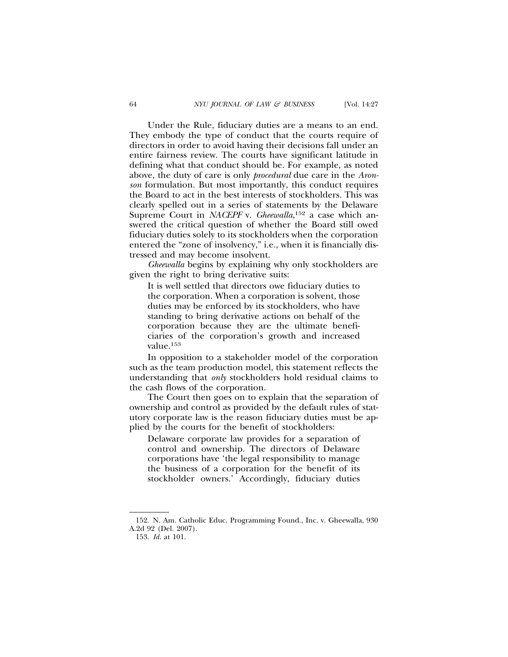Under the Rule, fiduciary duties are a means to an end. They embody the type of conduct that the courts require of directors in order to avoid having their decisions fall under an entire fairness review. The courts have significant latitude in defining what that conduct should be. For example, as noted above, the duty of care is only *procedural* due care in the *Aronson* formulation. But most importantly, this conduct requires the Board to act in the best interests of stockholders. This was clearly spelled out in a series of statements by the Delaware Supreme Court in *NACEPF* v. *Gheewalla*,<sup>152</sup> a case which answered the critical question of whether the Board still owed fiduciary duties solely to its stockholders when the corporation entered the "zone of insolvency," i.e., when it is financially distressed and may become insolvent.

*Gheewalla* begins by explaining why only stockholders are given the right to bring derivative suits:

It is well settled that directors owe fiduciary duties to the corporation. When a corporation is solvent, those duties may be enforced by its stockholders, who have standing to bring derivative actions on behalf of the corporation because they are the ultimate beneficiaries of the corporation's growth and increased value.153

In opposition to a stakeholder model of the corporation such as the team production model, this statement reflects the understanding that *only* stockholders hold residual claims to the cash flows of the corporation.

The Court then goes on to explain that the separation of ownership and control as provided by the default rules of statutory corporate law is the reason fiduciary duties must be applied by the courts for the benefit of stockholders:

Delaware corporate law provides for a separation of control and ownership. The directors of Delaware corporations have 'the legal responsibility to manage the business of a corporation for the benefit of its stockholder owners.' Accordingly, fiduciary duties

<sup>152.</sup> N. Am. Catholic Educ. Programming Found., Inc. v. Gheewalla, 930 A.2d 92 (Del. 2007).

<sup>153.</sup> *Id.* at 101.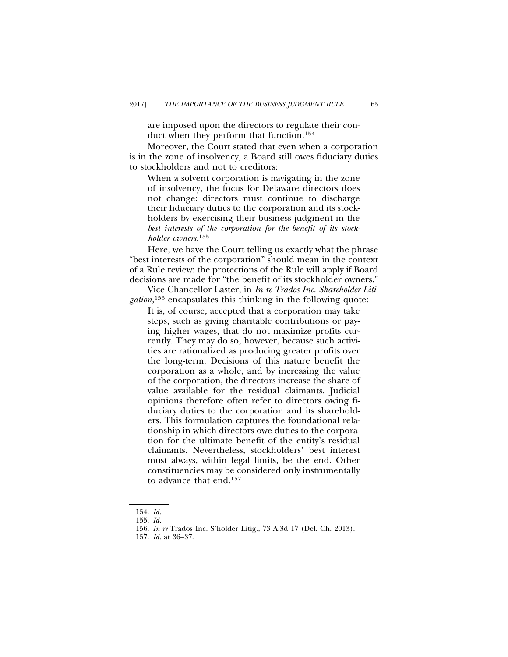are imposed upon the directors to regulate their conduct when they perform that function.154

Moreover, the Court stated that even when a corporation is in the zone of insolvency, a Board still owes fiduciary duties to stockholders and not to creditors:

When a solvent corporation is navigating in the zone of insolvency, the focus for Delaware directors does not change: directors must continue to discharge their fiduciary duties to the corporation and its stockholders by exercising their business judgment in the *best interests of the corporation for the benefit of its stockholder owners*. 155

Here, we have the Court telling us exactly what the phrase "best interests of the corporation" should mean in the context of a Rule review: the protections of the Rule will apply if Board decisions are made for "the benefit of its stockholder owners."

Vice Chancellor Laster, in *In re Trados Inc. Shareholder Litigation*, 156 encapsulates this thinking in the following quote:

It is, of course, accepted that a corporation may take steps, such as giving charitable contributions or paying higher wages, that do not maximize profits currently. They may do so, however, because such activities are rationalized as producing greater profits over the long-term. Decisions of this nature benefit the corporation as a whole, and by increasing the value of the corporation, the directors increase the share of value available for the residual claimants. Judicial opinions therefore often refer to directors owing fiduciary duties to the corporation and its shareholders. This formulation captures the foundational relationship in which directors owe duties to the corporation for the ultimate benefit of the entity's residual claimants. Nevertheless, stockholders' best interest must always, within legal limits, be the end. Other constituencies may be considered only instrumentally to advance that end.157

<sup>154.</sup> *Id.*

<sup>155.</sup> *Id.*

<sup>156.</sup> *In re* Trados Inc. S'holder Litig., 73 A.3d 17 (Del. Ch. 2013).

<sup>157.</sup> *Id.* at 36–37.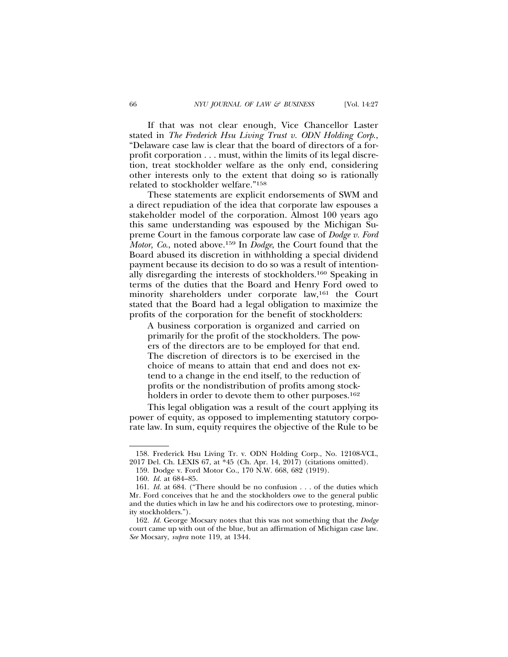If that was not clear enough, Vice Chancellor Laster stated in *The Frederick Hsu Living Trust v. ODN Holding Corp*., "Delaware case law is clear that the board of directors of a forprofit corporation . . . must, within the limits of its legal discretion, treat stockholder welfare as the only end, considering other interests only to the extent that doing so is rationally related to stockholder welfare."158

These statements are explicit endorsements of SWM and a direct repudiation of the idea that corporate law espouses a stakeholder model of the corporation. Almost 100 years ago this same understanding was espoused by the Michigan Supreme Court in the famous corporate law case of *Dodge v. Ford Motor, Co*., noted above.159 In *Dodge*, the Court found that the Board abused its discretion in withholding a special dividend payment because its decision to do so was a result of intentionally disregarding the interests of stockholders.160 Speaking in terms of the duties that the Board and Henry Ford owed to minority shareholders under corporate law,161 the Court stated that the Board had a legal obligation to maximize the profits of the corporation for the benefit of stockholders:

A business corporation is organized and carried on primarily for the profit of the stockholders. The powers of the directors are to be employed for that end. The discretion of directors is to be exercised in the choice of means to attain that end and does not extend to a change in the end itself, to the reduction of profits or the nondistribution of profits among stockholders in order to devote them to other purposes.<sup>162</sup>

This legal obligation was a result of the court applying its power of equity, as opposed to implementing statutory corporate law. In sum, equity requires the objective of the Rule to be

<sup>158.</sup> Frederick Hsu Living Tr. v. ODN Holding Corp., No. 12108-VCL, 2017 Del. Ch. LEXIS 67, at \*45 (Ch. Apr. 14, 2017) (citations omitted).

<sup>159.</sup> Dodge v. Ford Motor Co., 170 N.W. 668, 682 (1919).

<sup>160.</sup> *Id.* at 684–85.

<sup>161.</sup> *Id.* at 684. ("There should be no confusion . . . of the duties which Mr. Ford conceives that he and the stockholders owe to the general public and the duties which in law he and his codirectors owe to protesting, minority stockholders.").

<sup>162.</sup> *Id.* George Mocsary notes that this was not something that the *Dodge* court came up with out of the blue, but an affirmation of Michigan case law. *See* Mocsary, *supra* note 119, at 1344.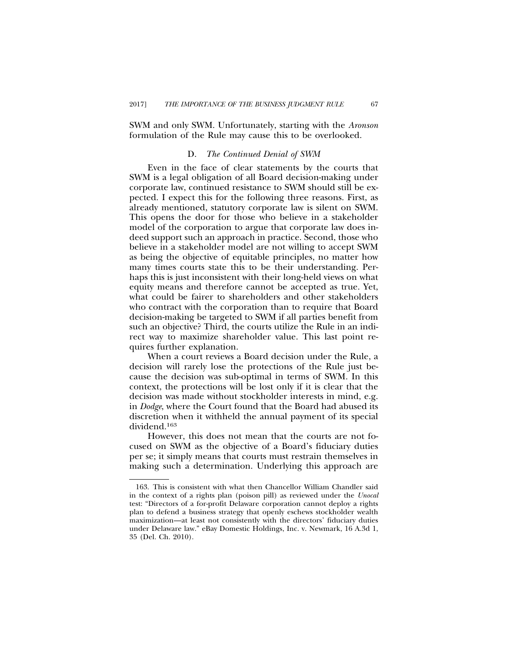SWM and only SWM. Unfortunately, starting with the *Aronson* formulation of the Rule may cause this to be overlooked.

## D. *The Continued Denial of SWM*

Even in the face of clear statements by the courts that SWM is a legal obligation of all Board decision-making under corporate law, continued resistance to SWM should still be expected. I expect this for the following three reasons. First, as already mentioned, statutory corporate law is silent on SWM. This opens the door for those who believe in a stakeholder model of the corporation to argue that corporate law does indeed support such an approach in practice. Second, those who believe in a stakeholder model are not willing to accept SWM as being the objective of equitable principles, no matter how many times courts state this to be their understanding. Perhaps this is just inconsistent with their long-held views on what equity means and therefore cannot be accepted as true. Yet, what could be fairer to shareholders and other stakeholders who contract with the corporation than to require that Board decision-making be targeted to SWM if all parties benefit from such an objective? Third, the courts utilize the Rule in an indirect way to maximize shareholder value. This last point requires further explanation.

When a court reviews a Board decision under the Rule, a decision will rarely lose the protections of the Rule just because the decision was sub-optimal in terms of SWM. In this context, the protections will be lost only if it is clear that the decision was made without stockholder interests in mind, e.g. in *Dodge*, where the Court found that the Board had abused its discretion when it withheld the annual payment of its special dividend.163

However, this does not mean that the courts are not focused on SWM as the objective of a Board's fiduciary duties per se; it simply means that courts must restrain themselves in making such a determination. Underlying this approach are

<sup>163.</sup> This is consistent with what then Chancellor William Chandler said in the context of a rights plan (poison pill) as reviewed under the *Unocal* test: "Directors of a for-profit Delaware corporation cannot deploy a rights plan to defend a business strategy that openly eschews stockholder wealth maximization—at least not consistently with the directors' fiduciary duties under Delaware law." eBay Domestic Holdings, Inc. v. Newmark, 16 A.3d 1, 35 (Del. Ch. 2010).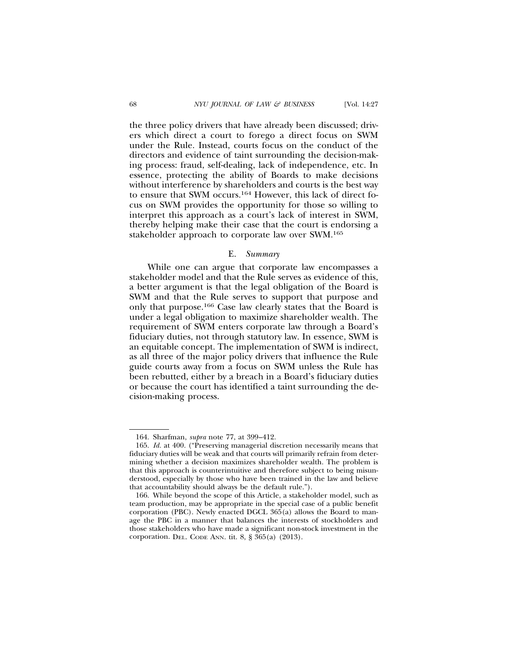the three policy drivers that have already been discussed; drivers which direct a court to forego a direct focus on SWM under the Rule. Instead, courts focus on the conduct of the directors and evidence of taint surrounding the decision-making process: fraud, self-dealing, lack of independence, etc. In essence, protecting the ability of Boards to make decisions without interference by shareholders and courts is the best way to ensure that SWM occurs.164 However, this lack of direct focus on SWM provides the opportunity for those so willing to interpret this approach as a court's lack of interest in SWM, thereby helping make their case that the court is endorsing a stakeholder approach to corporate law over SWM.165

#### E. *Summary*

While one can argue that corporate law encompasses a stakeholder model and that the Rule serves as evidence of this, a better argument is that the legal obligation of the Board is SWM and that the Rule serves to support that purpose and only that purpose.166 Case law clearly states that the Board is under a legal obligation to maximize shareholder wealth. The requirement of SWM enters corporate law through a Board's fiduciary duties, not through statutory law. In essence, SWM is an equitable concept. The implementation of SWM is indirect, as all three of the major policy drivers that influence the Rule guide courts away from a focus on SWM unless the Rule has been rebutted, either by a breach in a Board's fiduciary duties or because the court has identified a taint surrounding the decision-making process.

<sup>164.</sup> Sharfman, *supra* note 77, at 399–412.

<sup>165.</sup> *Id.* at 400. ("Preserving managerial discretion necessarily means that fiduciary duties will be weak and that courts will primarily refrain from determining whether a decision maximizes shareholder wealth. The problem is that this approach is counterintuitive and therefore subject to being misunderstood, especially by those who have been trained in the law and believe that accountability should always be the default rule.").

<sup>166.</sup> While beyond the scope of this Article, a stakeholder model, such as team production, may be appropriate in the special case of a public benefit corporation (PBC). Newly enacted DGCL 365(a) allows the Board to manage the PBC in a manner that balances the interests of stockholders and those stakeholders who have made a significant non-stock investment in the corporation. DEL. CODE ANN. tit. 8, § 365(a) (2013).